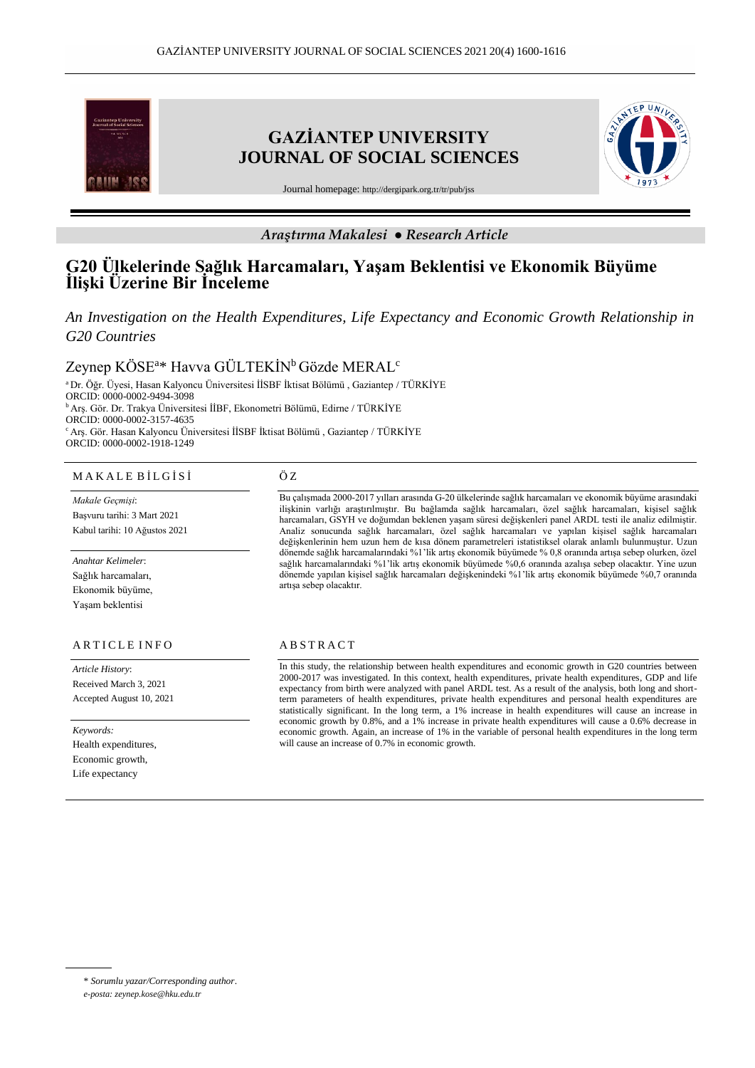

# *Araştırma Makalesi ● Research Article*

# **G20 Ülkelerinde Sağlık Harcamaları, Yaşam Beklentisi ve Ekonomik Büyüme İlişki Üzerine Bir İnceleme**

*An Investigation on the Health Expenditures, Life Expectancy and Economic Growth Relationship in G20 Countries*

 $\rm{Zeyn}$ ep KÖSE $\rm{^{a*}}$  Havva GÜLTEKİN $\rm{^b}$ Gözde MERAL $\rm{^c}$ 

<sup>a</sup>Dr. Öğr. Üyesi, Hasan Kalyoncu Üniversitesi İİSBF İktisat Bölümü , Gaziantep / TÜRKİYE ORCID: 0000-0002-9494-3098 <sup>b</sup>Arş. Gör. Dr. Trakya Üniversitesi İİBF, Ekonometri Bölümü, Edirne / TÜRKİYE ORCID: 0000-0002-3157-4635 <sup>c</sup>Arş. Gör. Hasan Kalyoncu Üniversitesi İİSBF İktisat Bölümü , Gaziantep / TÜRKİYE ORCID: 0000-0002-1918-1249

#### M A K A L E B İ L G İ S İ

*Makale Geçmişi*: Başvuru tarihi: 3 Mart 2021 Kabul tarihi: 10 Ağustos 2021

*Anahtar Kelimeler*: Sağlık harcamaları, Ekonomik büyüme, Yaşam beklentisi

# ARTICLE INFO

*Article History*: Received March 3, 2021 Accepted August 10, 2021

*Keywords:* Health expenditures, Economic growth, Life expectancy

#### Ö Z

Bu çalışmada 2000-2017 yılları arasında G-20 ülkelerinde sağlık harcamaları ve ekonomik büyüme arasındaki ilişkinin varlığı araştırılmıştır. Bu bağlamda sağlık harcamaları, özel sağlık harcamaları, kişisel sağlık harcamaları, GSYH ve doğumdan beklenen yaşam süresi değişkenleri panel ARDL testi ile analiz edilmiştir. Analiz sonucunda sağlık harcamaları, özel sağlık harcamaları ve yapılan kişisel sağlık harcamaları değişkenlerinin hem uzun hem de kısa dönem parametreleri istatistiksel olarak anlamlı bulunmuştur. Uzun dönemde sağlık harcamalarındaki %1'lik artış ekonomik büyümede % 0,8 oranında artışa sebep olurken, özel sağlık harcamalarındaki %1'lik artış ekonomik büyümede %0,6 oranında azalışa sebep olacaktır. Yine uzun dönemde yapılan kişisel sağlık harcamaları değişkenindeki %1'lik artış ekonomik büyümede %0,7 oranında artışa sebep olacaktır.

## **ABSTRACT**

In this study, the relationship between health expenditures and economic growth in G20 countries between 2000-2017 was investigated. In this context, health expenditures, private health expenditures, GDP and life expectancy from birth were analyzed with panel ARDL test. As a result of the analysis, both long and shortterm parameters of health expenditures, private health expenditures and personal health expenditures are statistically significant. In the long term, a 1% increase in health expenditures will cause an increase in economic growth by 0.8%, and a 1% increase in private health expenditures will cause a 0.6% decrease in economic growth. Again, an increase of 1% in the variable of personal health expenditures in the long term will cause an increase of 0.7% in economic growth.

<sup>\*</sup> *Sorumlu yazar/Corresponding author*.

*e-posta: zeynep.kose@hku.edu.tr*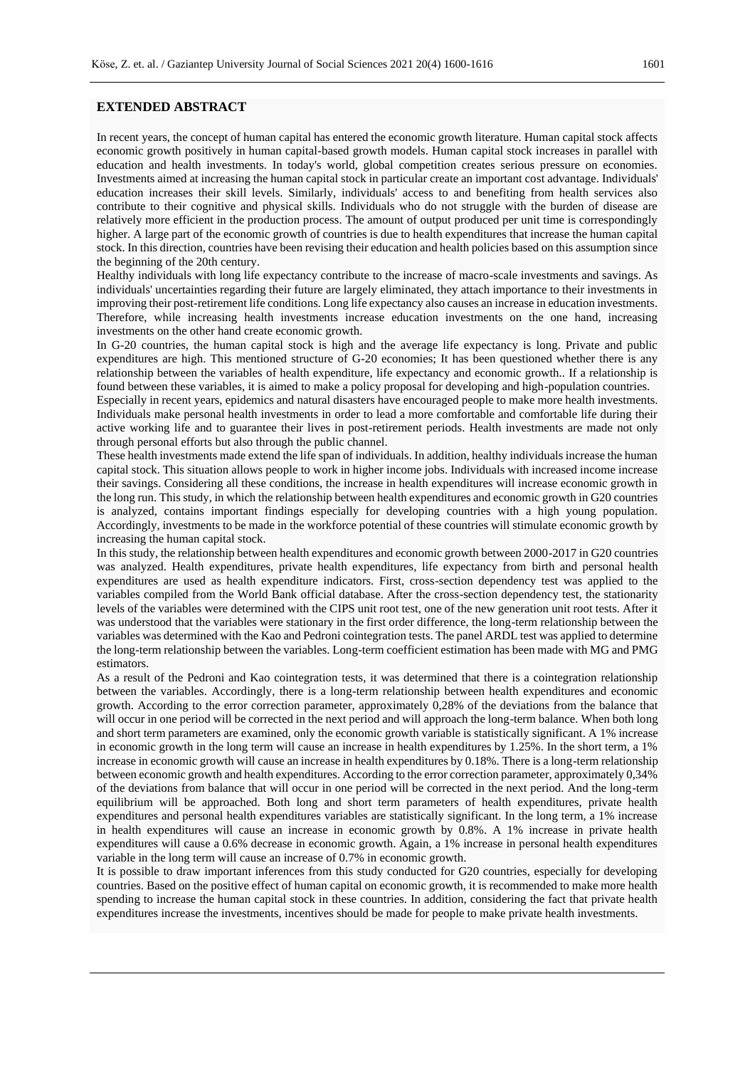# **EXTENDED ABSTRACT**

In recent years, the concept of human capital has entered the economic growth literature. Human capital stock affects economic growth positively in human capital-based growth models. Human capital stock increases in parallel with education and health investments. In today's world, global competition creates serious pressure on economies. Investments aimed at increasing the human capital stock in particular create an important cost advantage. Individuals' education increases their skill levels. Similarly, individuals' access to and benefiting from health services also contribute to their cognitive and physical skills. Individuals who do not struggle with the burden of disease are relatively more efficient in the production process. The amount of output produced per unit time is correspondingly higher. A large part of the economic growth of countries is due to health expenditures that increase the human capital stock. In this direction, countries have been revising their education and health policies based on this assumption since the beginning of the 20th century.

Healthy individuals with long life expectancy contribute to the increase of macro-scale investments and savings. As individuals' uncertainties regarding their future are largely eliminated, they attach importance to their investments in improving their post-retirement life conditions. Long life expectancy also causes an increase in education investments. Therefore, while increasing health investments increase education investments on the one hand, increasing investments on the other hand create economic growth.

In G-20 countries, the human capital stock is high and the average life expectancy is long. Private and public expenditures are high. This mentioned structure of G-20 economies; It has been questioned whether there is any relationship between the variables of health expenditure, life expectancy and economic growth.. If a relationship is found between these variables, it is aimed to make a policy proposal for developing and high-population countries.

Especially in recent years, epidemics and natural disasters have encouraged people to make more health investments. Individuals make personal health investments in order to lead a more comfortable and comfortable life during their active working life and to guarantee their lives in post-retirement periods. Health investments are made not only through personal efforts but also through the public channel.

These health investments made extend the life span of individuals. In addition, healthy individuals increase the human capital stock. This situation allows people to work in higher income jobs. Individuals with increased income increase their savings. Considering all these conditions, the increase in health expenditures will increase economic growth in the long run. This study, in which the relationship between health expenditures and economic growth in G20 countries is analyzed, contains important findings especially for developing countries with a high young population. Accordingly, investments to be made in the workforce potential of these countries will stimulate economic growth by increasing the human capital stock.

In this study, the relationship between health expenditures and economic growth between 2000-2017 in G20 countries was analyzed. Health expenditures, private health expenditures, life expectancy from birth and personal health expenditures are used as health expenditure indicators. First, cross-section dependency test was applied to the variables compiled from the World Bank official database. After the cross-section dependency test, the stationarity levels of the variables were determined with the CIPS unit root test, one of the new generation unit root tests. After it was understood that the variables were stationary in the first order difference, the long-term relationship between the variables was determined with the Kao and Pedroni cointegration tests. The panel ARDL test was applied to determine the long-term relationship between the variables. Long-term coefficient estimation has been made with MG and PMG estimators.

As a result of the Pedroni and Kao cointegration tests, it was determined that there is a cointegration relationship between the variables. Accordingly, there is a long-term relationship between health expenditures and economic growth. According to the error correction parameter, approximately 0,28% of the deviations from the balance that will occur in one period will be corrected in the next period and will approach the long-term balance. When both long and short term parameters are examined, only the economic growth variable is statistically significant. A 1% increase in economic growth in the long term will cause an increase in health expenditures by 1.25%. In the short term, a 1% increase in economic growth will cause an increase in health expenditures by 0.18%. There is a long-term relationship between economic growth and health expenditures. According to the error correction parameter, approximately 0,34% of the deviations from balance that will occur in one period will be corrected in the next period. And the long-term equilibrium will be approached. Both long and short term parameters of health expenditures, private health expenditures and personal health expenditures variables are statistically significant. In the long term, a 1% increase in health expenditures will cause an increase in economic growth by 0.8%. A 1% increase in private health expenditures will cause a 0.6% decrease in economic growth. Again, a 1% increase in personal health expenditures variable in the long term will cause an increase of 0.7% in economic growth.

It is possible to draw important inferences from this study conducted for G20 countries, especially for developing countries. Based on the positive effect of human capital on economic growth, it is recommended to make more health spending to increase the human capital stock in these countries. In addition, considering the fact that private health expenditures increase the investments, incentives should be made for people to make private health investments.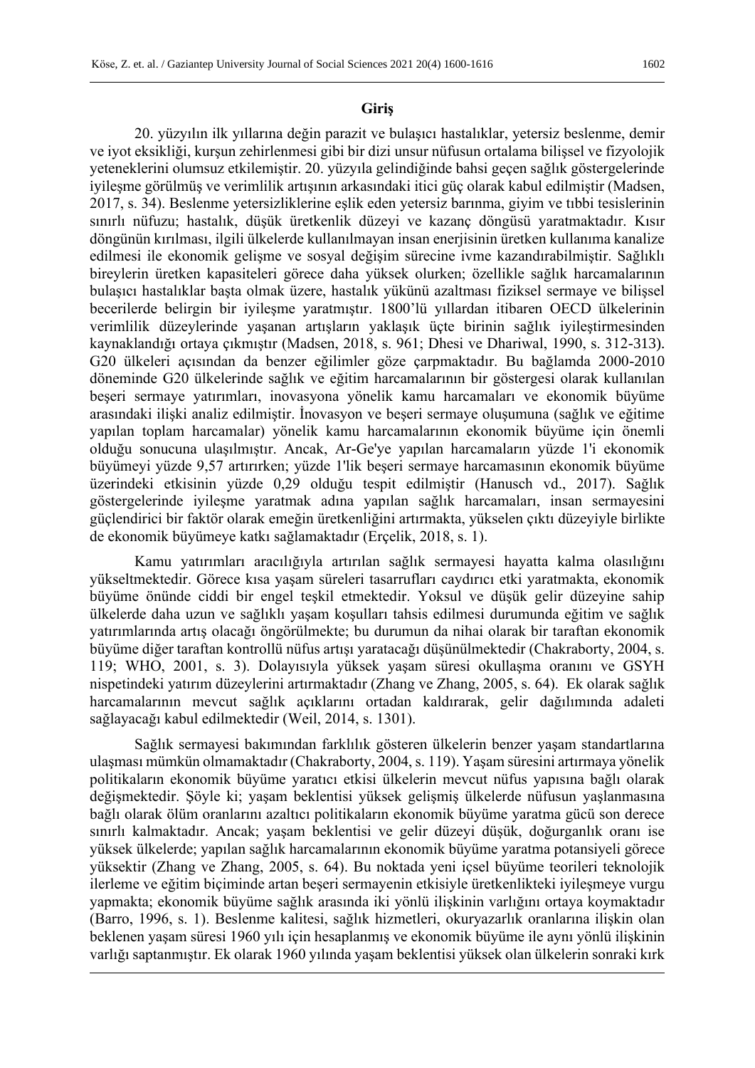# **Giriş**

20. yüzyılın ilk yıllarına değin parazit ve bulaşıcı hastalıklar, yetersiz beslenme, demir ve iyot eksikliği, kurşun zehirlenmesi gibi bir dizi unsur nüfusun ortalama bilişsel ve fizyolojik yeteneklerini olumsuz etkilemiştir. 20. yüzyıla gelindiğinde bahsi geçen sağlık göstergelerinde iyileşme görülmüş ve verimlilik artışının arkasındaki itici güç olarak kabul edilmiştir (Madsen, 2017, s. 34). Beslenme yetersizliklerine eşlik eden yetersiz barınma, giyim ve tıbbi tesislerinin sınırlı nüfuzu; hastalık, düşük üretkenlik düzeyi ve kazanç döngüsü yaratmaktadır. Kısır döngünün kırılması, ilgili ülkelerde kullanılmayan insan enerjisinin üretken kullanıma kanalize edilmesi ile ekonomik gelişme ve sosyal değişim sürecine ivme kazandırabilmiştir. Sağlıklı bireylerin üretken kapasiteleri görece daha yüksek olurken; özellikle sağlık harcamalarının bulaşıcı hastalıklar başta olmak üzere, hastalık yükünü azaltması fiziksel sermaye ve bilişsel becerilerde belirgin bir iyileşme yaratmıştır. 1800'lü yıllardan itibaren OECD ülkelerinin verimlilik düzeylerinde yaşanan artışların yaklaşık üçte birinin sağlık iyileştirmesinden kaynaklandığı ortaya çıkmıştır (Madsen, 2018, s. 961; Dhesi ve Dhariwal, 1990, s. 312-313). G20 ülkeleri açısından da benzer eğilimler göze çarpmaktadır. Bu bağlamda 2000-2010 döneminde G20 ülkelerinde sağlık ve eğitim harcamalarının bir göstergesi olarak kullanılan beşeri sermaye yatırımları, inovasyona yönelik kamu harcamaları ve ekonomik büyüme arasındaki ilişki analiz edilmiştir. İnovasyon ve beşeri sermaye oluşumuna (sağlık ve eğitime yapılan toplam harcamalar) yönelik kamu harcamalarının ekonomik büyüme için önemli olduğu sonucuna ulaşılmıştır. Ancak, Ar-Ge'ye yapılan harcamaların yüzde 1'i ekonomik büyümeyi yüzde 9,57 artırırken; yüzde 1'lik beşeri sermaye harcamasının ekonomik büyüme üzerindeki etkisinin yüzde 0,29 olduğu tespit edilmiştir (Hanusch vd., 2017). Sağlık göstergelerinde iyileşme yaratmak adına yapılan sağlık harcamaları, insan sermayesini güçlendirici bir faktör olarak emeğin üretkenliğini artırmakta, yükselen çıktı düzeyiyle birlikte de ekonomik büyümeye katkı sağlamaktadır (Erçelik, 2018, s. 1).

Kamu yatırımları aracılığıyla artırılan sağlık sermayesi hayatta kalma olasılığını yükseltmektedir. Görece kısa yaşam süreleri tasarrufları caydırıcı etki yaratmakta, ekonomik büyüme önünde ciddi bir engel teşkil etmektedir. Yoksul ve düşük gelir düzeyine sahip ülkelerde daha uzun ve sağlıklı yaşam koşulları tahsis edilmesi durumunda eğitim ve sağlık yatırımlarında artış olacağı öngörülmekte; bu durumun da nihai olarak bir taraftan ekonomik büyüme diğer taraftan kontrollü nüfus artışı yaratacağı düşünülmektedir (Chakraborty, 2004, s. 119; WHO, 2001, s. 3). Dolayısıyla yüksek yaşam süresi okullaşma oranını ve GSYH nispetindeki yatırım düzeylerini artırmaktadır (Zhang ve Zhang, 2005, s. 64). Ek olarak sağlık harcamalarının mevcut sağlık açıklarını ortadan kaldırarak, gelir dağılımında adaleti sağlayacağı kabul edilmektedir (Weil, 2014, s. 1301).

Sağlık sermayesi bakımından farklılık gösteren ülkelerin benzer yaşam standartlarına ulaşması mümkün olmamaktadır (Chakraborty, 2004, s. 119). Yaşam süresini artırmaya yönelik politikaların ekonomik büyüme yaratıcı etkisi ülkelerin mevcut nüfus yapısına bağlı olarak değişmektedir. Şöyle ki; yaşam beklentisi yüksek gelişmiş ülkelerde nüfusun yaşlanmasına bağlı olarak ölüm oranlarını azaltıcı politikaların ekonomik büyüme yaratma gücü son derece sınırlı kalmaktadır. Ancak; yaşam beklentisi ve gelir düzeyi düşük, doğurganlık oranı ise yüksek ülkelerde; yapılan sağlık harcamalarının ekonomik büyüme yaratma potansiyeli görece yüksektir (Zhang ve Zhang, 2005, s. 64). Bu noktada yeni içsel büyüme teorileri teknolojik ilerleme ve eğitim biçiminde artan beşeri sermayenin etkisiyle üretkenlikteki iyileşmeye vurgu yapmakta; ekonomik büyüme sağlık arasında iki yönlü ilişkinin varlığını ortaya koymaktadır (Barro, 1996, s. 1). Beslenme kalitesi, sağlık hizmetleri, okuryazarlık oranlarına ilişkin olan beklenen yaşam süresi 1960 yılı için hesaplanmış ve ekonomik büyüme ile aynı yönlü ilişkinin varlığı saptanmıştır. Ek olarak 1960 yılında yaşam beklentisi yüksek olan ülkelerin sonraki kırk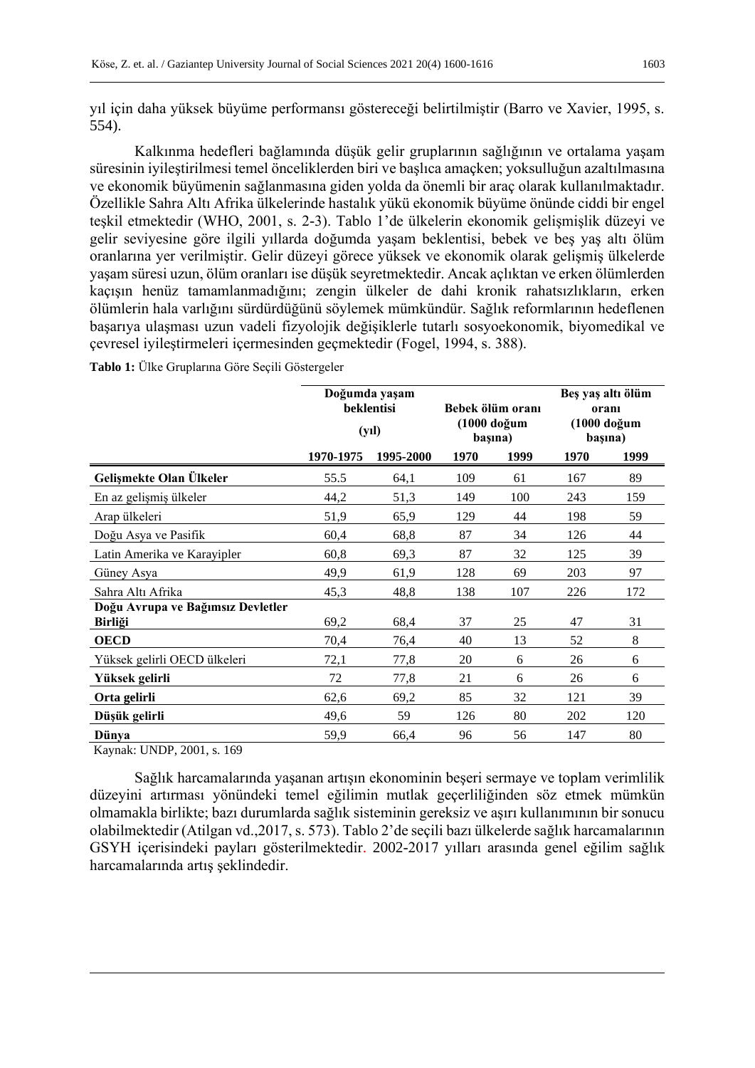yıl için daha yüksek büyüme performansı göstereceği belirtilmiştir (Barro ve Xavier, 1995, s. 554).

Kalkınma hedefleri bağlamında düşük gelir gruplarının sağlığının ve ortalama yaşam süresinin iyileştirilmesi temel önceliklerden biri ve başlıca amaçken; yoksulluğun azaltılmasına ve ekonomik büyümenin sağlanmasına giden yolda da önemli bir araç olarak kullanılmaktadır. Özellikle Sahra Altı Afrika ülkelerinde hastalık yükü ekonomik büyüme önünde ciddi bir engel teşkil etmektedir (WHO, 2001, s. 2-3). Tablo 1'de ülkelerin ekonomik gelişmişlik düzeyi ve gelir seviyesine göre ilgili yıllarda doğumda yaşam beklentisi, bebek ve beş yaş altı ölüm oranlarına yer verilmiştir. Gelir düzeyi görece yüksek ve ekonomik olarak gelişmiş ülkelerde yaşam süresi uzun, ölüm oranları ise düşük seyretmektedir. Ancak açlıktan ve erken ölümlerden kaçışın henüz tamamlanmadığını; zengin ülkeler de dahi kronik rahatsızlıkların, erken ölümlerin hala varlığını sürdürdüğünü söylemek mümkündür. Sağlık reformlarının hedeflenen başarıya ulaşması uzun vadeli fizyolojik değişiklerle tutarlı sosyoekonomik, biyomedikal ve çevresel iyileştirmeleri içermesinden geçmektedir (Fogel, 1994, s. 388).

|                                                     |           | Doğumda yaşam<br>beklentisi<br>$(y_1)$ |      | Bebek ölüm oranı<br>(1000 doğum<br>başına) | Beş yaş altı ölüm<br>oranı<br>(1000 doğum<br>başına) |      |  |
|-----------------------------------------------------|-----------|----------------------------------------|------|--------------------------------------------|------------------------------------------------------|------|--|
|                                                     | 1970-1975 | 1995-2000                              | 1970 | 1999                                       | 1970                                                 | 1999 |  |
| Gelismekte Olan Ülkeler                             | 55.5      | 64,1                                   | 109  | 61                                         | 167                                                  | 89   |  |
| En az gelişmiş ülkeler                              | 44,2      | 51,3                                   | 149  | 100                                        | 243                                                  | 159  |  |
| Arap ülkeleri                                       | 51,9      | 65,9                                   | 129  | 44                                         | 198                                                  | 59   |  |
| Doğu Asya ve Pasifik                                | 60,4      | 68,8                                   | 87   | 34                                         | 126                                                  | 44   |  |
| Latin Amerika ve Karayipler                         | 60,8      | 69,3                                   | 87   | 32                                         | 125                                                  | 39   |  |
| Güney Asya                                          | 49,9      | 61,9                                   | 128  | 69                                         | 203                                                  | 97   |  |
| Sahra Altı Afrika                                   | 45,3      | 48,8                                   | 138  | 107                                        | 226                                                  | 172  |  |
| Doğu Avrupa ve Bağımsız Devletler<br><b>Birliği</b> | 69,2      | 68,4                                   | 37   | 25                                         | 47                                                   | 31   |  |
| <b>OECD</b>                                         | 70,4      | 76,4                                   | 40   | 13                                         | 52                                                   | 8    |  |
| Yüksek gelirli OECD ülkeleri                        | 72,1      | 77,8                                   | 20   | 6                                          | 26                                                   | 6    |  |
| Yüksek gelirli                                      | 72        | 77,8                                   | 21   | 6                                          | 26                                                   | 6    |  |
| Orta gelirli                                        | 62,6      | 69,2                                   | 85   | 32                                         | 121                                                  | 39   |  |
| Düşük gelirli                                       | 49,6      | 59                                     | 126  | 80                                         | 202                                                  | 120  |  |
| Dünya                                               | 59,9      | 66,4                                   | 96   | 56                                         | 147                                                  | 80   |  |

**Tablo 1:** Ülke Gruplarına Göre Seçili Göstergeler

Kaynak: UNDP, 2001, s. 169

Sağlık harcamalarında yaşanan artışın ekonominin beşeri sermaye ve toplam verimlilik düzeyini artırması yönündeki temel eğilimin mutlak geçerliliğinden söz etmek mümkün olmamakla birlikte; bazı durumlarda sağlık sisteminin gereksiz ve aşırı kullanımının bir sonucu olabilmektedir (Atilgan vd.,2017, s. 573). Tablo 2'de seçili bazı ülkelerde sağlık harcamalarının GSYH içerisindeki payları gösterilmektedir. 2002-2017 yılları arasında genel eğilim sağlık harcamalarında artış şeklindedir.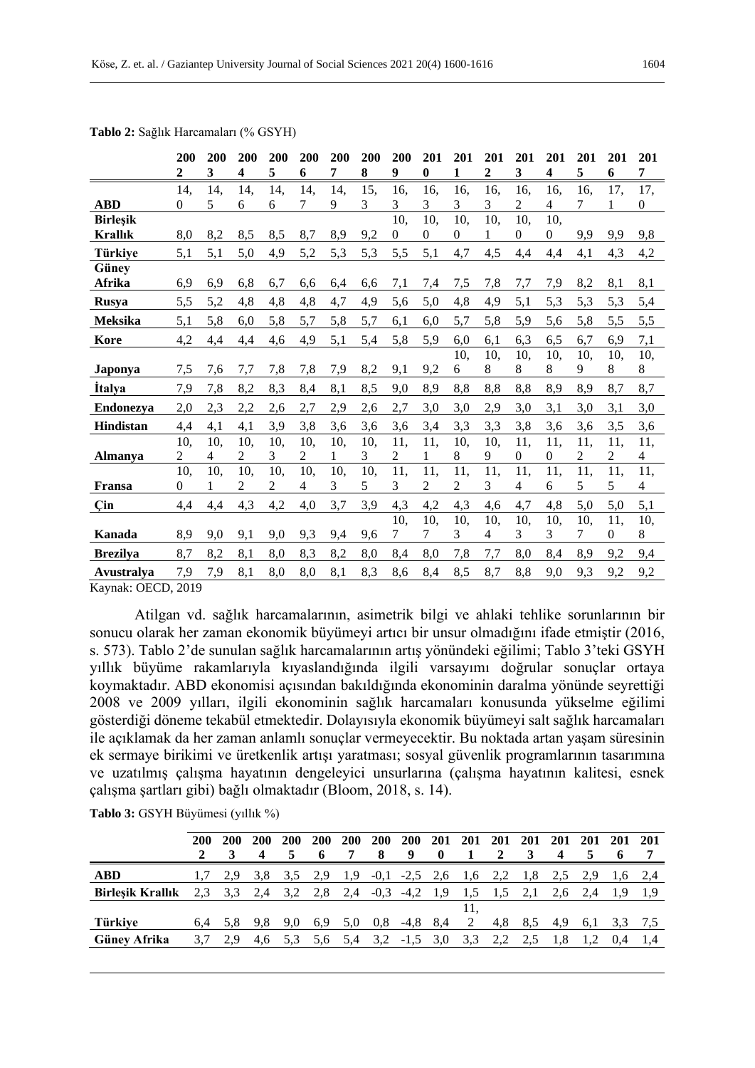|                 | 200<br>2       | 200<br>3 | 200<br>$\overline{\mathbf{4}}$ | 200<br>5       | 200<br>6       | 200<br>7 | 200<br>8 | 200<br>9       | 201<br>$\bf{0}$  | 201<br>1     | 201<br>$\mathbf{2}$ | 201<br>3       | 201<br>4         | 201<br>5       | 201<br>6       | 201<br>7                 |
|-----------------|----------------|----------|--------------------------------|----------------|----------------|----------|----------|----------------|------------------|--------------|---------------------|----------------|------------------|----------------|----------------|--------------------------|
|                 | 14,            | 14,      | 14,                            | 14,            | 14,            | 14,      | 15,      | 16,            | 16,              | 16,          | 16,                 | 16,            | 16,              | 16,            | 17,            | 17,                      |
| <b>ABD</b>      | $\theta$       | 5        | 6                              | 6              | 7              | 9        | 3        | 3              | 3                | 3            | 3                   | $\overline{c}$ | 4                | 7              | 1              | $\boldsymbol{0}$         |
| <b>Birlesik</b> |                |          |                                |                |                |          |          | 10,            | 10,              | 10,          | 10,                 | 10,            | 10,              |                |                |                          |
| <b>Krallık</b>  | 8,0            | 8,2      | 8,5                            | 8,5            | 8,7            | 8,9      | 9,2      | $\overline{0}$ | $\boldsymbol{0}$ | $\mathbf{0}$ | 1                   | $\overline{0}$ | $\boldsymbol{0}$ | 9,9            | 9,9            | 9,8                      |
| <b>Türkiye</b>  | 5,1            | 5,1      | 5,0                            | 4,9            | 5,2            | 5,3      | 5,3      | 5,5            | 5,1              | 4,7          | 4,5                 | 4,4            | 4,4              | 4,1            | 4,3            | 4,2                      |
| Güney           |                |          |                                |                |                |          |          |                |                  |              |                     |                |                  |                |                |                          |
| Afrika          | 6,9            | 6,9      | 6,8                            | 6,7            | 6,6            | 6,4      | 6,6      | 7,1            | 7,4              | 7,5          | 7,8                 | 7,7            | 7,9              | 8,2            | 8,1            | 8,1                      |
| <b>Rusya</b>    | 5,5            | 5,2      | 4,8                            | 4,8            | 4,8            | 4,7      | 4,9      | 5,6            | 5,0              | 4,8          | 4,9                 | 5,1            | 5,3              | 5,3            | 5,3            | 5,4                      |
| Meksika         | 5,1            | 5,8      | 6,0                            | 5,8            | 5,7            | 5,8      | 5,7      | 6,1            | 6,0              | 5,7          | 5,8                 | 5,9            | 5,6              | 5,8            | 5,5            | 5,5                      |
| Kore            | 4,2            | 4,4      | 4,4                            | 4,6            | 4,9            | 5,1      | 5,4      | 5,8            | 5,9              | 6,0          | 6,1                 | 6,3            | 6,5              | 6,7            | 6,9            | 7,1                      |
|                 |                |          |                                |                |                |          |          |                |                  | 10,          | 10,                 | 10,            | 10,              | 10,            | 10,            | 10,                      |
| Japonya         | 7,5            | 7,6      | 7,7                            | 7,8            | 7,8            | 7,9      | 8,2      | 9,1            | 9,2              | 6            | 8                   | 8              | 8                | 9              | 8              | 8                        |
| <b>Italya</b>   | 7,9            | 7,8      | 8,2                            | 8,3            | 8,4            | 8,1      | 8,5      | 9,0            | 8,9              | 8,8          | 8,8                 | 8,8            | 8,9              | 8,9            | 8,7            | 8,7                      |
| Endonezva       | 2,0            | 2,3      | 2,2                            | 2,6            | 2,7            | 2,9      | 2,6      | 2,7            | 3,0              | 3,0          | 2,9                 | 3,0            | 3,1              | 3,0            | 3,1            | 3,0                      |
| Hindistan       | 4,4            | 4,1      | 4,1                            | 3,9            | 3,8            | 3,6      | 3,6      | 3,6            | 3,4              | 3,3          | 3,3                 | 3,8            | 3,6              | 3,6            | 3,5            | 3,6                      |
|                 | 10,            | 10,      | 10,                            | 10,            | 10,            | 10,      | 10,      | 11,            | 11,              | 10,          | 10,                 | 11,            | 11,              | 11,            | 11,            | 11,                      |
| <b>Almanya</b>  | $\overline{c}$ | 4        | $\overline{c}$                 | 3              | $\overline{c}$ | 1        | 3        | $\overline{c}$ | $\mathbf{1}$     | 8            | 9                   | $\theta$       | 0                | $\overline{c}$ | $\overline{c}$ | $\overline{\mathcal{L}}$ |
|                 | 10,            | 10,      | 10,                            | 10,            | 10,            | 10,      | 10,      | 11,            | 11,              | 11,          | 11,                 | 11,            | 11,              | 11,            | 11,            | 11,                      |
| Fransa          | $\theta$       | 1        | 2                              | $\overline{2}$ | 4              | 3        | 5        | 3              | 2                | 2            | 3                   | 4              | 6                | 5              | 5              | 4                        |
| Çin             | 4,4            | 4,4      | 4,3                            | 4,2            | 4,0            | 3,7      | 3,9      | 4,3            | 4,2              | 4,3          | 4,6                 | 4,7            | 4,8              | 5,0            | 5,0            | 5,1                      |
|                 |                |          |                                |                |                |          |          | 10,            | 10,              | 10,          | 10,                 | 10,            | 10,              | 10,            | 11,            | 10,                      |
| Kanada          | 8,9            | 9,0      | 9,1                            | 9,0            | 9,3            | 9,4      | 9,6      | $\tau$         | 7                | 3            | $\overline{4}$      | 3              | 3                | 7              | $\overline{0}$ | 8                        |
| <b>Brezilya</b> | 8,7            | 8,2      | 8,1                            | 8,0            | 8,3            | 8,2      | 8,0      | 8,4            | 8,0              | 7,8          | 7,7                 | 8,0            | 8,4              | 8,9            | 9,2            | 9,4                      |
| Avustralya      | 7,9            | 7,9      | 8,1                            | 8,0            | 8,0            | 8,1      | 8,3      | 8,6            | 8,4              | 8,5          | 8,7                 | 8,8            | 9,0              | 9,3            | 9,2            | 9,2                      |

**Tablo 2:** Sağlık Harcamaları (% GSYH)

Kaynak: OECD, 2019

Atilgan vd. sağlık harcamalarının, asimetrik bilgi ve ahlaki tehlike sorunlarının bir sonucu olarak her zaman ekonomik büyümeyi artıcı bir unsur olmadığını ifade etmiştir (2016, s. 573). Tablo 2'de sunulan sağlık harcamalarının artış yönündeki eğilimi; Tablo 3'teki GSYH yıllık büyüme rakamlarıyla kıyaslandığında ilgili varsayımı doğrular sonuçlar ortaya koymaktadır. ABD ekonomisi açısından bakıldığında ekonominin daralma yönünde seyrettiği 2008 ve 2009 yılları, ilgili ekonominin sağlık harcamaları konusunda yükselme eğilimi gösterdiği döneme tekabül etmektedir. Dolayısıyla ekonomik büyümeyi salt sağlık harcamaları ile açıklamak da her zaman anlamlı sonuçlar vermeyecektir. Bu noktada artan yaşam süresinin ek sermaye birikimi ve üretkenlik artışı yaratması; sosyal güvenlik programlarının tasarımına ve uzatılmış çalışma hayatının dengeleyici unsurlarına (çalışma hayatının kalitesi, esnek çalışma şartları gibi) bağlı olmaktadır (Bloom, 2018, s. 14).

|                         | 200 | 200 | 200<br>4 | 200<br>5 | 200<br>6 | 200 | 200<br>8 | 200<br>9 | 201<br>$\mathbf 0$ | 201 | 201<br>2 | 201<br>3 | 201 | 201 | 201 | <b>201</b> |
|-------------------------|-----|-----|----------|----------|----------|-----|----------|----------|--------------------|-----|----------|----------|-----|-----|-----|------------|
| <b>ABD</b>              |     | 2,9 | 3.8      | 3.5      | 2,9      | 1,9 | $-0,1$   | $-2.5$   | 2.6                | 1,6 |          | 1,8      |     | 2,9 | 1,6 | 2,4        |
| <b>Birlesik Krallık</b> | 2.3 | 3.3 | 2.4      | 3,2      | 2.8      | 2,4 | $-0.3$   | $-4,2$   | 1.9                |     |          |          | 2,6 | 2.4 |     |            |
|                         |     |     |          |          |          |     |          |          |                    | 11. |          |          |     |     |     |            |
| Türkiye                 | 6.4 | 5.8 | 9.8      | 9.0      | 6,9      | 5,0 | 0,8      | $-4,8$   | 8,4                | 2   | 4,8      | 8.5      | 4,9 | 6.1 | 3.3 | 7.5        |
| Günev Afrika            |     | 2.9 | 4.6      | 5.3      | 5.6      | 5.4 | 3.2      | $-1,5$   | 3,0                | 3.3 |          |          |     |     |     |            |
|                         |     |     |          |          |          |     |          |          |                    |     |          |          |     |     |     |            |

**Tablo 3:** GSYH Büyümesi (yıllık %)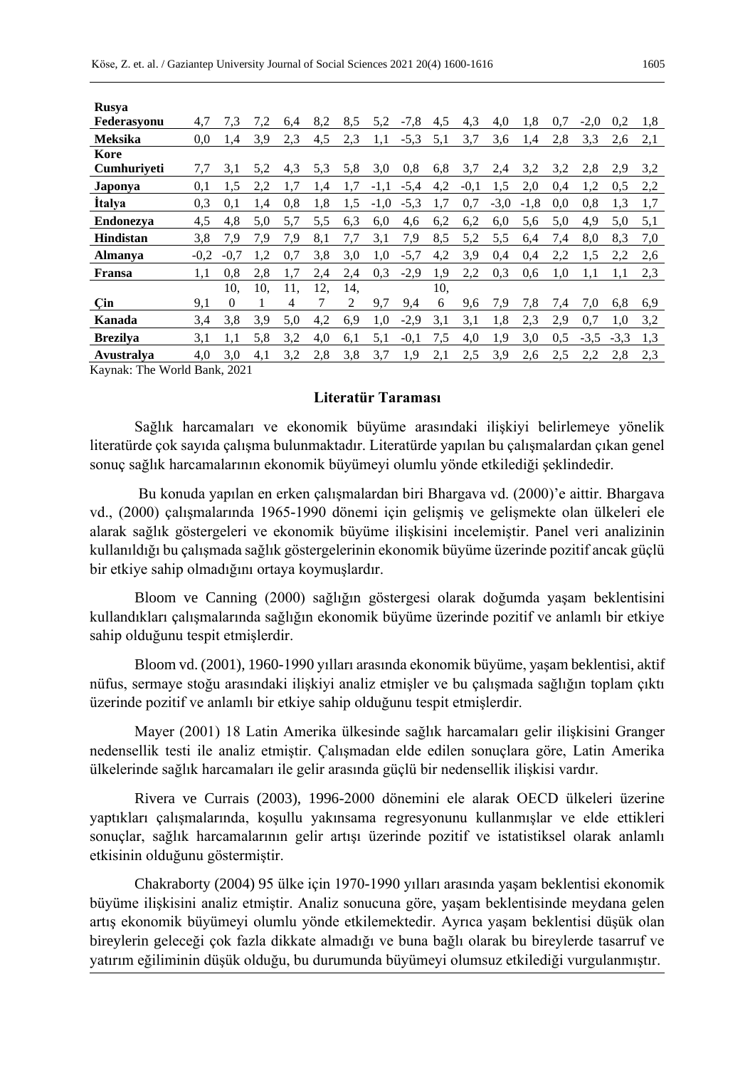| <b>Rusya</b>                                  |        |          |     |     |     |     |        |        |     |        |        |        |     |        |        |     |
|-----------------------------------------------|--------|----------|-----|-----|-----|-----|--------|--------|-----|--------|--------|--------|-----|--------|--------|-----|
| Federasyonu                                   | 4,7    | 7,3      | 7,2 | 6,4 | 8,2 | 8,5 | 5,2    | $-7,8$ | 4,5 | 4,3    | 4,0    | 1,8    | 0.7 | $-2.0$ | 0,2    | 1,8 |
| <b>Meksika</b>                                | 0,0    | 1.4      | 3,9 | 2,3 | 4,5 | 2,3 | 1,1    | $-5,3$ | 5,1 | 3,7    | 3,6    | 1.4    | 2.8 | 3,3    | 2.6    | 2,1 |
| Kore                                          |        |          |     |     |     |     |        |        |     |        |        |        |     |        |        |     |
| <b>Cumhuriveti</b>                            | 7,7    | 3,1      | 5,2 | 4,3 | 5,3 | 5,8 | 3,0    | 0,8    | 6,8 | 3,7    | 2,4    | 3,2    | 3,2 | 2,8    | 2,9    | 3,2 |
| Japonya                                       | 0,1    | 1,5      | 2,2 | 1,7 | 1,4 | 1,7 | $-1,1$ | $-5,4$ | 4,2 | $-0,1$ | 1,5    | 2,0    | 0.4 | 1,2    | 0.5    | 2,2 |
| <b>Italya</b>                                 | 0.3    | 0.1      | 1,4 | 0.8 | 1.8 | 1,5 | $-1,0$ | $-5,3$ | 1.7 | 0,7    | $-3,0$ | $-1,8$ | 0.0 | 0,8    | 1,3    | 1,7 |
| <b>Endonezya</b>                              | 4,5    | 4,8      | 5,0 | 5,7 | 5,5 | 6,3 | 6,0    | 4,6    | 6,2 | 6,2    | 6,0    | 5,6    | 5,0 | 4,9    | 5,0    | 5,1 |
| Hindistan                                     | 3,8    | 7,9      | 7,9 | 7,9 | 8,1 | 7,7 | 3,1    | 7,9    | 8,5 | 5,2    | 5,5    | 6,4    | 7.4 | 8,0    | 8.3    | 7,0 |
| <b>Almanya</b>                                | $-0,2$ | $-0,7$   | 1,2 | 0,7 | 3,8 | 3,0 | 1,0    | $-5,7$ | 4,2 | 3,9    | 0,4    | 0,4    | 2,2 | 1,5    | 2,2    | 2,6 |
| Fransa                                        | 1,1    | 0.8      | 2,8 | 1,7 | 2,4 | 2,4 | 0,3    | $-2,9$ | 1.9 | 2,2    | 0.3    | 0.6    | 1.0 | 1.1    | 1,1    | 2,3 |
|                                               |        | 10.      | 10. | 11. | 12, | 14. |        |        | 10, |        |        |        |     |        |        |     |
| Çin                                           | 9,1    | $\Omega$ | 1   | 4   | 7   | 2   | 9,7    | 9,4    | 6   | 9,6    | 7.9    | 7.8    | 7.4 | 7,0    | 6,8    | 6,9 |
| Kanada                                        | 3,4    | 3,8      | 3,9 | 5,0 | 4,2 | 6,9 | 1,0    | $-2,9$ | 3,1 | 3,1    | 1.8    | 2,3    | 2,9 | 0,7    | 1.0    | 3,2 |
| <b>Brezilya</b>                               | 3,1    | 1,1      | 5,8 | 3,2 | 4,0 | 6,1 | 5,1    | $-0,1$ | 7,5 | 4,0    | 1.9    | 3,0    | 0.5 | $-3,5$ | $-3,3$ | 1,3 |
| Avustralya                                    | 4,0    | 3,0      | 4,1 | 3,2 | 2,8 | 3,8 | 3,7    | 1,9    | 2,1 | 2,5    | 3,9    | 2.6    | 2,5 | 2,2    | 2,8    | 2,3 |
| $V_{\alpha}$ $\sim$ $\sim$ The Western Depter |        | 2021     |     |     |     |     |        |        |     |        |        |        |     |        |        |     |

Kaynak: The World Bank, 2021

# **Literatür Taraması**

Sağlık harcamaları ve ekonomik büyüme arasındaki ilişkiyi belirlemeye yönelik literatürde çok sayıda çalışma bulunmaktadır. Literatürde yapılan bu çalışmalardan çıkan genel sonuç sağlık harcamalarının ekonomik büyümeyi olumlu yönde etkilediği şeklindedir.

Bu konuda yapılan en erken çalışmalardan biri Bhargava vd. (2000)'e aittir. Bhargava vd., (2000) çalışmalarında 1965-1990 dönemi için gelişmiş ve gelişmekte olan ülkeleri ele alarak sağlık göstergeleri ve ekonomik büyüme ilişkisini incelemiştir. Panel veri analizinin kullanıldığı bu çalışmada sağlık göstergelerinin ekonomik büyüme üzerinde pozitif ancak güçlü bir etkiye sahip olmadığını ortaya koymuşlardır.

Bloom ve Canning (2000) sağlığın göstergesi olarak doğumda yaşam beklentisini kullandıkları çalışmalarında sağlığın ekonomik büyüme üzerinde pozitif ve anlamlı bir etkiye sahip olduğunu tespit etmişlerdir.

Bloom vd. (2001), 1960-1990 yılları arasında ekonomik büyüme, yaşam beklentisi, aktif nüfus, sermaye stoğu arasındaki ilişkiyi analiz etmişler ve bu çalışmada sağlığın toplam çıktı üzerinde pozitif ve anlamlı bir etkiye sahip olduğunu tespit etmişlerdir.

Mayer (2001) 18 Latin Amerika ülkesinde sağlık harcamaları gelir ilişkisini Granger nedensellik testi ile analiz etmiştir. Çalışmadan elde edilen sonuçlara göre, Latin Amerika ülkelerinde sağlık harcamaları ile gelir arasında güçlü bir nedensellik ilişkisi vardır.

Rivera ve Currais (2003), 1996-2000 dönemini ele alarak OECD ülkeleri üzerine yaptıkları çalışmalarında, koşullu yakınsama regresyonunu kullanmışlar ve elde ettikleri sonuçlar, sağlık harcamalarının gelir artışı üzerinde pozitif ve istatistiksel olarak anlamlı etkisinin olduğunu göstermiştir.

Chakraborty (2004) 95 ülke için 1970-1990 yılları arasında yaşam beklentisi ekonomik büyüme ilişkisini analiz etmiştir. Analiz sonucuna göre, yaşam beklentisinde meydana gelen artış ekonomik büyümeyi olumlu yönde etkilemektedir. Ayrıca yaşam beklentisi düşük olan bireylerin geleceği çok fazla dikkate almadığı ve buna bağlı olarak bu bireylerde tasarruf ve yatırım eğiliminin düşük olduğu, bu durumunda büyümeyi olumsuz etkilediği vurgulanmıştır.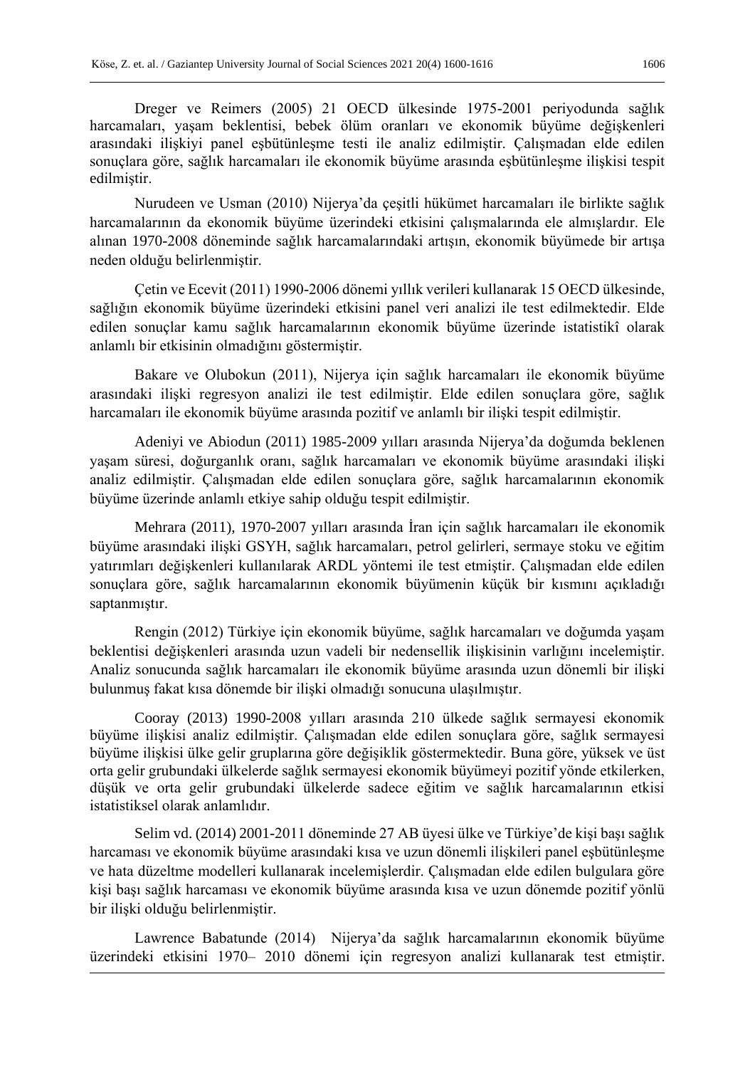Dreger ve Reimers (2005) 21 OECD ülkesinde 1975-2001 periyodunda sağlık harcamaları, yaşam beklentisi, bebek ölüm oranları ve ekonomik büyüme değişkenleri arasındaki ilişkiyi panel eşbütünleşme testi ile analiz edilmiştir. Çalışmadan elde edilen sonuçlara göre, sağlık harcamaları ile ekonomik büyüme arasında eşbütünleşme ilişkisi tespit edilmiştir.

Nurudeen ve Usman (2010) Nijerya'da çeşitli hükümet harcamaları ile birlikte sağlık harcamalarının da ekonomik büyüme üzerindeki etkisini çalışmalarında ele almışlardır. Ele alınan 1970-2008 döneminde sağlık harcamalarındaki artışın, ekonomik büyümede bir artışa neden olduğu belirlenmiştir.

Çetin ve Ecevit (2011) 1990-2006 dönemi yıllık verileri kullanarak 15 OECD ülkesinde, sağlığın ekonomik büyüme üzerindeki etkisini panel veri analizi ile test edilmektedir. Elde edilen sonuçlar kamu sağlık harcamalarının ekonomik büyüme üzerinde istatistikî olarak anlamlı bir etkisinin olmadığını göstermiştir.

Bakare ve Olubokun (2011), Nijerya için sağlık harcamaları ile ekonomik büyüme arasındaki ilişki regresyon analizi ile test edilmiştir. Elde edilen sonuçlara göre, sağlık harcamaları ile ekonomik büyüme arasında pozitif ve anlamlı bir ilişki tespit edilmiştir.

Adeniyi ve Abiodun (2011) 1985-2009 yılları arasında Nijerya'da doğumda beklenen yaşam süresi, doğurganlık oranı, sağlık harcamaları ve ekonomik büyüme arasındaki ilişki analiz edilmiştir. Çalışmadan elde edilen sonuçlara göre, sağlık harcamalarının ekonomik büyüme üzerinde anlamlı etkiye sahip olduğu tespit edilmiştir.

Mehrara (2011), 1970-2007 yılları arasında İran için sağlık harcamaları ile ekonomik büyüme arasındaki ilişki GSYH, sağlık harcamaları, petrol gelirleri, sermaye stoku ve eğitim yatırımları değişkenleri kullanılarak ARDL yöntemi ile test etmiştir. Çalışmadan elde edilen sonuçlara göre, sağlık harcamalarının ekonomik büyümenin küçük bir kısmını açıkladığı saptanmıştır.

Rengin (2012) Türkiye için ekonomik büyüme, sağlık harcamaları ve doğumda yaşam beklentisi değişkenleri arasında uzun vadeli bir nedensellik ilişkisinin varlığını incelemiştir. Analiz sonucunda sağlık harcamaları ile ekonomik büyüme arasında uzun dönemli bir ilişki bulunmuş fakat kısa dönemde bir ilişki olmadığı sonucuna ulaşılmıştır.

Cooray (2013) 1990-2008 yılları arasında 210 ülkede sağlık sermayesi ekonomik büyüme ilişkisi analiz edilmiştir. Çalışmadan elde edilen sonuçlara göre, sağlık sermayesi büyüme ilişkisi ülke gelir gruplarına göre değişiklik göstermektedir. Buna göre, yüksek ve üst orta gelir grubundaki ülkelerde sağlık sermayesi ekonomik büyümeyi pozitif yönde etkilerken, düşük ve orta gelir grubundaki ülkelerde sadece eğitim ve sağlık harcamalarının etkisi istatistiksel olarak anlamlıdır.

Selim vd. (2014) 2001-2011 döneminde 27 AB üyesi ülke ve Türkiye'de kişi başı sağlık harcaması ve ekonomik büyüme arasındaki kısa ve uzun dönemli ilişkileri panel eşbütünleşme ve hata düzeltme modelleri kullanarak incelemişlerdir. Çalışmadan elde edilen bulgulara göre kişi başı sağlık harcaması ve ekonomik büyüme arasında kısa ve uzun dönemde pozitif yönlü bir ilişki olduğu belirlenmiştir.

Lawrence Babatunde (2014) Nijerya'da sağlık harcamalarının ekonomik büyüme üzerindeki etkisini 1970– 2010 dönemi için regresyon analizi kullanarak test etmiştir.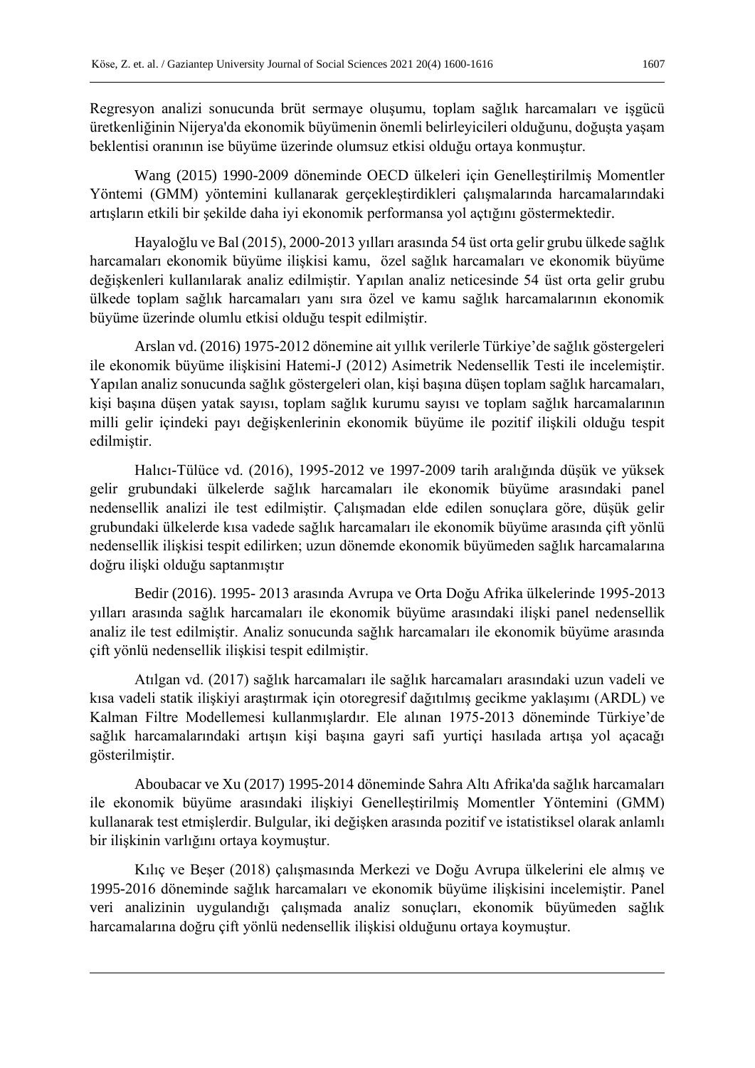Regresyon analizi sonucunda brüt sermaye oluşumu, toplam sağlık harcamaları ve işgücü üretkenliğinin Nijerya'da ekonomik büyümenin önemli belirleyicileri olduğunu, doğuşta yaşam beklentisi oranının ise büyüme üzerinde olumsuz etkisi olduğu ortaya konmuştur.

Wang (2015) 1990-2009 döneminde OECD ülkeleri için Genelleştirilmiş Momentler Yöntemi (GMM) yöntemini kullanarak gerçekleştirdikleri çalışmalarında harcamalarındaki artışların etkili bir şekilde daha iyi ekonomik performansa yol açtığını göstermektedir.

Hayaloğlu ve Bal (2015), 2000-2013 yılları arasında 54 üst orta gelir grubu ülkede sağlık harcamaları ekonomik büyüme ilişkisi kamu, özel sağlık harcamaları ve ekonomik büyüme değişkenleri kullanılarak analiz edilmiştir. Yapılan analiz neticesinde 54 üst orta gelir grubu ülkede toplam sağlık harcamaları yanı sıra özel ve kamu sağlık harcamalarının ekonomik büyüme üzerinde olumlu etkisi olduğu tespit edilmiştir.

Arslan vd. (2016) 1975-2012 dönemine ait yıllık verilerle Türkiye'de sağlık göstergeleri ile ekonomik büyüme ilişkisini Hatemi-J (2012) Asimetrik Nedensellik Testi ile incelemiştir. Yapılan analiz sonucunda sağlık göstergeleri olan, kişi başına düşen toplam sağlık harcamaları, kişi başına düşen yatak sayısı, toplam sağlık kurumu sayısı ve toplam sağlık harcamalarının milli gelir içindeki payı değişkenlerinin ekonomik büyüme ile pozitif ilişkili olduğu tespit edilmiştir.

Halıcı-Tülüce vd. (2016), 1995-2012 ve 1997-2009 tarih aralığında düşük ve yüksek gelir grubundaki ülkelerde sağlık harcamaları ile ekonomik büyüme arasındaki panel nedensellik analizi ile test edilmiştir. Çalışmadan elde edilen sonuçlara göre, düşük gelir grubundaki ülkelerde kısa vadede sağlık harcamaları ile ekonomik büyüme arasında çift yönlü nedensellik ilişkisi tespit edilirken; uzun dönemde ekonomik büyümeden sağlık harcamalarına doğru ilişki olduğu saptanmıştır

Bedir (2016). 1995- 2013 arasında Avrupa ve Orta Doğu Afrika ülkelerinde 1995-2013 yılları arasında sağlık harcamaları ile ekonomik büyüme arasındaki ilişki panel nedensellik analiz ile test edilmiştir. Analiz sonucunda sağlık harcamaları ile ekonomik büyüme arasında çift yönlü nedensellik ilişkisi tespit edilmiştir.

Atılgan vd. (2017) sağlık harcamaları ile sağlık harcamaları arasındaki uzun vadeli ve kısa vadeli statik ilişkiyi araştırmak için otoregresif dağıtılmış gecikme yaklaşımı (ARDL) ve Kalman Filtre Modellemesi kullanmışlardır. Ele alınan 1975-2013 döneminde Türkiye'de sağlık harcamalarındaki artışın kişi başına gayri safi yurtiçi hasılada artışa yol açacağı gösterilmiştir.

Aboubacar ve Xu (2017) 1995-2014 döneminde Sahra Altı Afrika'da sağlık harcamaları ile ekonomik büyüme arasındaki ilişkiyi Genelleştirilmiş Momentler Yöntemini (GMM) kullanarak test etmişlerdir. Bulgular, iki değişken arasında pozitif ve istatistiksel olarak anlamlı bir ilişkinin varlığını ortaya koymuştur.

Kılıç ve Beşer (2018) çalışmasında Merkezi ve Doğu Avrupa ülkelerini ele almış ve 1995-2016 döneminde sağlık harcamaları ve ekonomik büyüme ilişkisini incelemiştir. Panel veri analizinin uygulandığı çalışmada analiz sonuçları, ekonomik büyümeden sağlık harcamalarına doğru çift yönlü nedensellik ilişkisi olduğunu ortaya koymuştur.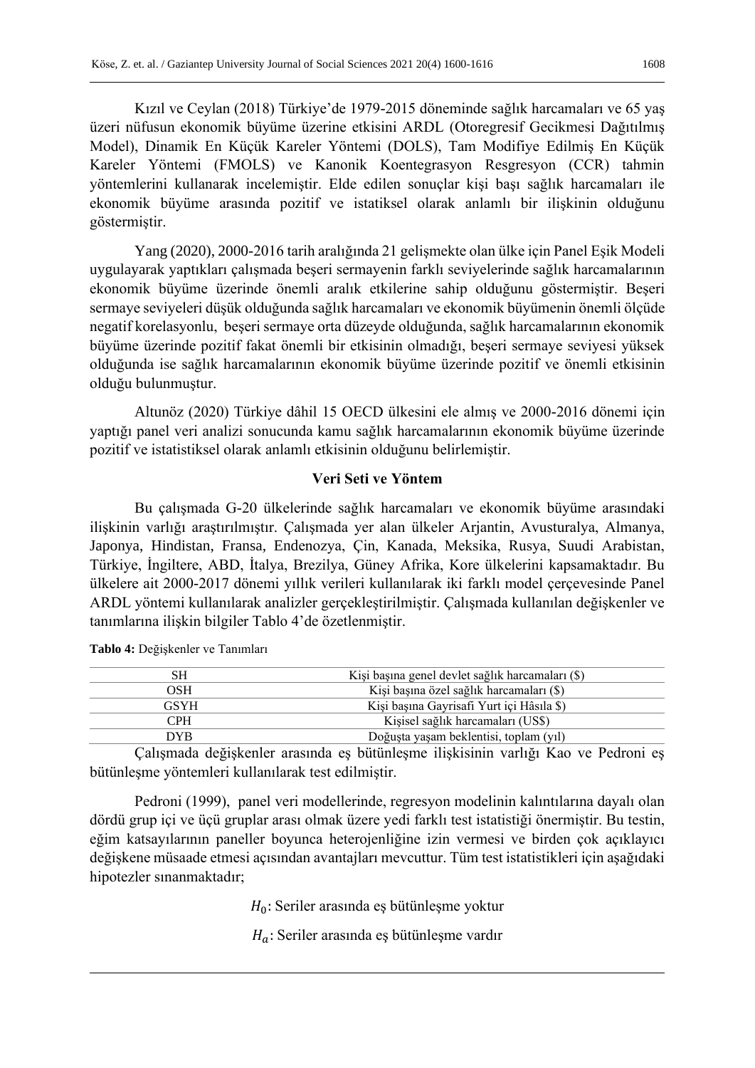Kızıl ve Ceylan (2018) Türkiye'de 1979-2015 döneminde sağlık harcamaları ve 65 yaş üzeri nüfusun ekonomik büyüme üzerine etkisini ARDL (Otoregresif Gecikmesi Dağıtılmış Model), Dinamik En Küçük Kareler Yöntemi (DOLS), Tam Modifiye Edilmiş En Küçük Kareler Yöntemi (FMOLS) ve Kanonik Koentegrasyon Resgresyon (CCR) tahmin yöntemlerini kullanarak incelemiştir. Elde edilen sonuçlar kişi başı sağlık harcamaları ile ekonomik büyüme arasında pozitif ve istatiksel olarak anlamlı bir ilişkinin olduğunu göstermiştir.

Yang (2020), 2000-2016 tarih aralığında 21 gelişmekte olan ülke için Panel Eşik Modeli uygulayarak yaptıkları çalışmada beşeri sermayenin farklı seviyelerinde sağlık harcamalarının ekonomik büyüme üzerinde önemli aralık etkilerine sahip olduğunu göstermiştir. Beşeri sermaye seviyeleri düşük olduğunda sağlık harcamaları ve ekonomik büyümenin önemli ölçüde negatif korelasyonlu, beşeri sermaye orta düzeyde olduğunda, sağlık harcamalarının ekonomik büyüme üzerinde pozitif fakat önemli bir etkisinin olmadığı, beşeri sermaye seviyesi yüksek olduğunda ise sağlık harcamalarının ekonomik büyüme üzerinde pozitif ve önemli etkisinin olduğu bulunmuştur.

Altunöz (2020) Türkiye dâhil 15 OECD ülkesini ele almış ve 2000-2016 dönemi için yaptığı panel veri analizi sonucunda kamu sağlık harcamalarının ekonomik büyüme üzerinde pozitif ve istatistiksel olarak anlamlı etkisinin olduğunu belirlemiştir.

# **Veri Seti ve Yöntem**

Bu çalışmada G-20 ülkelerinde sağlık harcamaları ve ekonomik büyüme arasındaki ilişkinin varlığı araştırılmıştır. Çalışmada yer alan ülkeler Arjantin, Avusturalya, Almanya, Japonya, Hindistan, Fransa, Endenozya, Çin, Kanada, Meksika, Rusya, Suudi Arabistan, Türkiye, İngiltere, ABD, İtalya, Brezilya, Güney Afrika, Kore ülkelerini kapsamaktadır. Bu ülkelere ait 2000-2017 dönemi yıllık verileri kullanılarak iki farklı model çerçevesinde Panel ARDL yöntemi kullanılarak analizler gerçekleştirilmiştir. Çalışmada kullanılan değişkenler ve tanımlarına ilişkin bilgiler Tablo 4'de özetlenmiştir.

| SН   | Kişi başına genel devlet sağlık harcamaları (\$) |  |  |  |  |  |  |
|------|--------------------------------------------------|--|--|--|--|--|--|
| OSH  | Kişi başına özel sağlık harcamaları (\$)         |  |  |  |  |  |  |
| GSYH | Kişi başına Gayrisafi Yurt içi Hâsıla \$)        |  |  |  |  |  |  |
| CPH  | Kişisel sağlık harcamaları (US\$)                |  |  |  |  |  |  |
| DYB. | Doğuşta yaşam beklentisi, toplam (yıl)           |  |  |  |  |  |  |
|      |                                                  |  |  |  |  |  |  |

**Tablo 4:** Değişkenler ve Tanımları

Çalışmada değişkenler arasında eş bütünleşme ilişkisinin varlığı Kao ve Pedroni eş bütünleşme yöntemleri kullanılarak test edilmiştir.

Pedroni (1999), panel veri modellerinde, regresyon modelinin kalıntılarına dayalı olan dördü grup içi ve üçü gruplar arası olmak üzere yedi farklı test istatistiği önermiştir. Bu testin, eğim katsayılarının paneller boyunca heterojenliğine izin vermesi ve birden çok açıklayıcı değişkene müsaade etmesi açısından avantajları mevcuttur. Tüm test istatistikleri için aşağıdaki hipotezler sınanmaktadır;

 $H_0$ : Seriler arasında eş bütünleşme yoktur

 $H_a$ : Seriler arasında eş bütünleşme vardır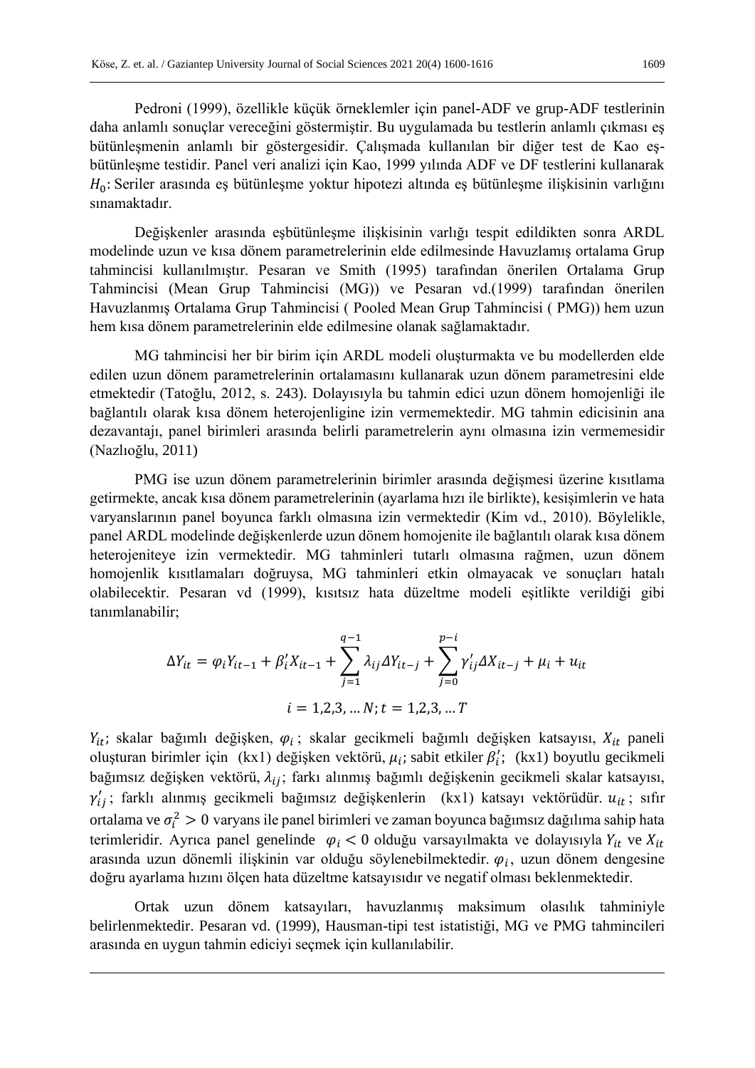Değişkenler arasında eşbütünleşme ilişkisinin varlığı tespit edildikten sonra ARDL modelinde uzun ve kısa dönem parametrelerinin elde edilmesinde Havuzlamış ortalama Grup tahmincisi kullanılmıştır. Pesaran ve Smith (1995) tarafından önerilen Ortalama Grup Tahmincisi (Mean Grup Tahmincisi (MG)) ve Pesaran vd.(1999) tarafından önerilen Havuzlanmış Ortalama Grup Tahmincisi ( Pooled Mean Grup Tahmincisi ( PMG)) hem uzun hem kısa dönem parametrelerinin elde edilmesine olanak sağlamaktadır.

MG tahmincisi her bir birim için ARDL modeli oluşturmakta ve bu modellerden elde edilen uzun dönem parametrelerinin ortalamasını kullanarak uzun dönem parametresini elde etmektedir (Tatoğlu, 2012, s. 243). Dolayısıyla bu tahmin edici uzun dönem homojenliği ile bağlantılı olarak kısa dönem heterojenligine izin vermemektedir. MG tahmin edicisinin ana dezavantajı, panel birimleri arasında belirli parametrelerin aynı olmasına izin vermemesidir (Nazlıoğlu, 2011)

PMG ise uzun dönem parametrelerinin birimler arasında değişmesi üzerine kısıtlama getirmekte, ancak kısa dönem parametrelerinin (ayarlama hızı ile birlikte), kesişimlerin ve hata varyanslarının panel boyunca farklı olmasına izin vermektedir (Kim vd., 2010). Böylelikle, panel ARDL modelinde değişkenlerde uzun dönem homojenite ile bağlantılı olarak kısa dönem heterojeniteye izin vermektedir. MG tahminleri tutarlı olmasına rağmen, uzun dönem homojenlik kısıtlamaları doğruysa, MG tahminleri etkin olmayacak ve sonuçları hatalı olabilecektir. Pesaran vd (1999), kısıtsız hata düzeltme modeli eşitlikte verildiği gibi tanımlanabilir;

$$
\Delta Y_{it} = \varphi_i Y_{it-1} + \beta'_i X_{it-1} + \sum_{j=1}^{q-1} \lambda_{ij} \Delta Y_{it-j} + \sum_{j=0}^{p-i} \gamma'_{ij} \Delta X_{it-j} + \mu_i + u_{it}
$$
  

$$
i = 1, 2, 3, ..., N; t = 1, 2, 3, ... T
$$

 $Y_{it}$ ; skalar bağımlı değişken,  $\varphi_i$ ; skalar gecikmeli bağımlı değişken katsayısı,  $X_{it}$  paneli oluşturan birimler için (kx1) değişken vektörü,  $\mu_i$ ; sabit etkiler  $\beta'_i$ ; (kx1) boyutlu gecikmeli bağımsız değişken vektörü,  $\lambda_{ij}$ ; farkı alınmış bağımlı değişkenin gecikmeli skalar katsayısı,  $\gamma'_{ij}$ ; farklı alınmış gecikmeli bağımsız değişkenlerin (kx1) katsayı vektörüdür.  $u_{it}$ ; sıfır ortalama ve  $\sigma_i^2 > 0$  varyans ile panel birimleri ve zaman boyunca bağımsız dağılıma sahip hata terimleridir. Ayrıca panel genelinde  $\varphi_i < 0$  olduğu varsayılmakta ve dolayısıyla  $Y_{it}$  ve  $X_{it}$ arasında uzun dönemli ilişkinin var olduğu söylenebilmektedir.  $\varphi_i$ , uzun dönem dengesine doğru ayarlama hızını ölçen hata düzeltme katsayısıdır ve negatif olması beklenmektedir.

Ortak uzun dönem katsayıları, havuzlanmış maksimum olasılık tahminiyle belirlenmektedir. Pesaran vd. (1999), Hausman-tipi test istatistiği, MG ve PMG tahmincileri arasında en uygun tahmin ediciyi seçmek için kullanılabilir.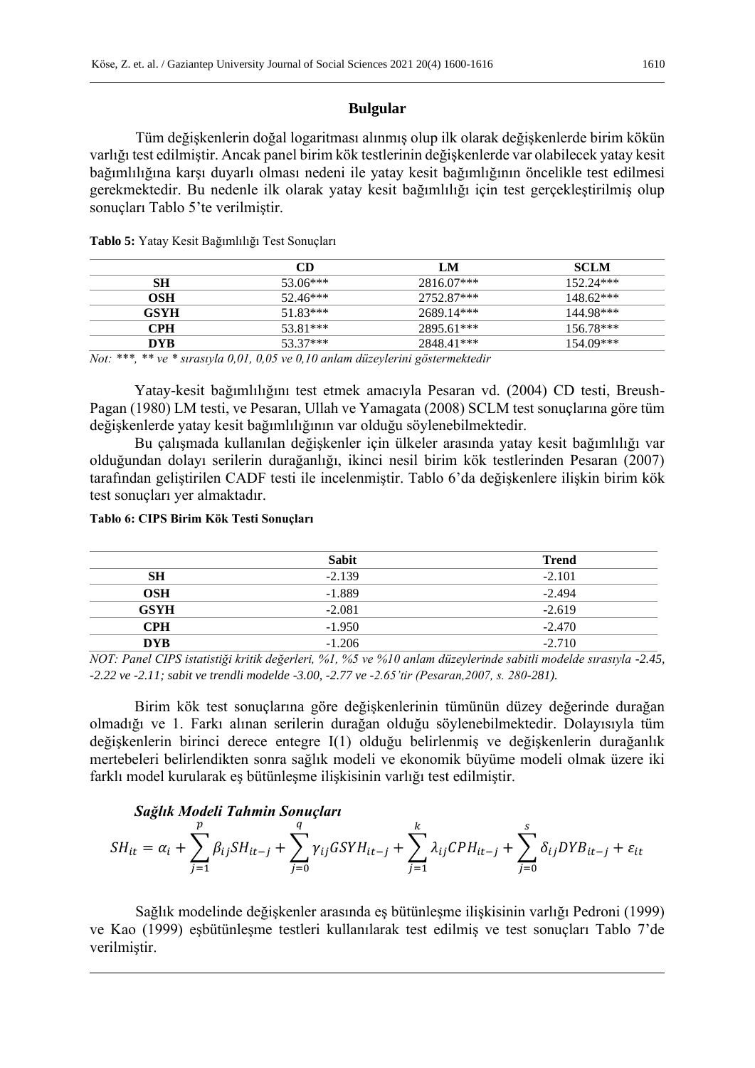# **Bulgular**

Tüm değişkenlerin doğal logaritması alınmış olup ilk olarak değişkenlerde birim kökün varlığı test edilmiştir. Ancak panel birim kök testlerinin değişkenlerde var olabilecek yatay kesit bağımlılığına karşı duyarlı olması nedeni ile yatay kesit bağımlığının öncelikle test edilmesi gerekmektedir. Bu nedenle ilk olarak yatay kesit bağımlılığı için test gerçekleştirilmiş olup sonuçları Tablo 5'te verilmiştir.

|             | CD       | LM         | <b>SCLM</b> |
|-------------|----------|------------|-------------|
| SН          | 53.06*** | 2816.07*** | $152.24***$ |
| OSH         | 52.46*** | 2752.87*** | $148.62***$ |
| <b>GSYH</b> | 51.83*** | 2689.14*** | 144.98***   |
| CPH.        | 53.81*** | 2895.61*** | $156.78***$ |
| DYB.        | 53.37*** | 2848.41*** | $154.09***$ |
|             |          |            |             |

**Tablo 5:** Yatay Kesit Bağımlılığı Test Sonuçları

*Not: \*\*\*, \*\* ve \* sırasıyla 0,01, 0,05 ve 0,10 anlam düzeylerini göstermektedir*

Yatay-kesit bağımlılığını test etmek amacıyla Pesaran vd. (2004) CD testi, Breush-Pagan (1980) LM testi, ve Pesaran, Ullah ve Yamagata (2008) SCLM test sonuçlarına göre tüm değişkenlerde yatay kesit bağımlılığının var olduğu söylenebilmektedir.

Bu çalışmada kullanılan değişkenler için ülkeler arasında yatay kesit bağımlılığı var olduğundan dolayı serilerin durağanlığı, ikinci nesil birim kök testlerinden Pesaran (2007) tarafından geliştirilen CADF testi ile incelenmiştir. Tablo 6'da değişkenlere ilişkin birim kök test sonuçları yer almaktadır.

# **Tablo 6: CIPS Birim Kök Testi Sonuçları**

|             | <b>Sabit</b> | <b>Trend</b> |
|-------------|--------------|--------------|
| <b>SH</b>   | $-2.139$     | $-2.101$     |
| OSH         | $-1.889$     | $-2.494$     |
| <b>GSYH</b> | $-2.081$     | $-2.619$     |
|             |              |              |
| <b>CPH</b>  | $-1.950$     | $-2.470$     |
| DYB.        | $-1.206$     | $-2.710$     |

*NOT: Panel CIPS istatistiği kritik değerleri, %1, %5 ve %10 anlam düzeylerinde sabitli modelde sırasıyla -2.45, -2.22 ve -2.11; sabit ve trendli modelde -3.00, -2.77 ve -2.65'tir (Pesaran,2007, s. 280-281).* 

Birim kök test sonuçlarına göre değişkenlerinin tümünün düzey değerinde durağan olmadığı ve 1. Farkı alınan serilerin durağan olduğu söylenebilmektedir. Dolayısıyla tüm değişkenlerin birinci derece entegre I(1) olduğu belirlenmiş ve değişkenlerin durağanlık mertebeleri belirlendikten sonra sağlık modeli ve ekonomik büyüme modeli olmak üzere iki farklı model kurularak eş bütünleşme ilişkisinin varlığı test edilmiştir.

# *Sağlık Modeli Tahmin Sonuçları*

$$
SH_{it} = \alpha_i + \sum_{j=1}^p \beta_{ij} SH_{it-j} + \sum_{j=0}^q \gamma_{ij} GSYM_{it-j} + \sum_{j=1}^k \lambda_{ij} CPH_{it-j} + \sum_{j=0}^s \delta_{ij} DYB_{it-j} + \varepsilon_{it}
$$

Sağlık modelinde değişkenler arasında eş bütünleşme ilişkisinin varlığı Pedroni (1999) ve Kao (1999) eşbütünleşme testleri kullanılarak test edilmiş ve test sonuçları Tablo 7'de verilmiştir.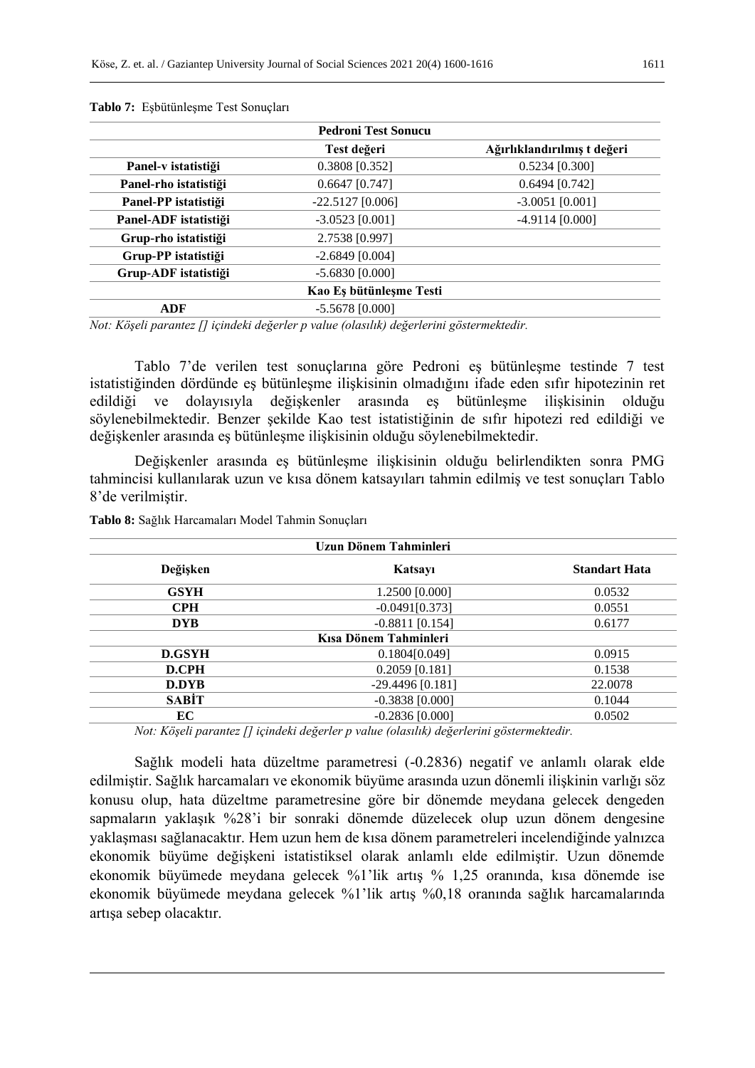|                       | <b>Pedroni Test Sonucu</b> |                             |
|-----------------------|----------------------------|-----------------------------|
|                       | Test değeri                | Ağırlıklandırılmış t değeri |
| Panel-v istatistiği   | $0.3808$ [0.352]           | $0.5234$ [0.300]            |
| Panel-rho istatistiği | $0.6647$ [0.747]           | $0.6494$ [0.742]            |
| Panel-PP istatistiği  | $-22.5127$ [0.006]         | $-3.0051$ [0.001]           |
| Panel-ADF istatistiği | $-3.0523$ [0.001]          | $-4.9114$ [0.000]           |
| Grup-rho istatistiği  | 2.7538 [0.997]             |                             |
| Grup-PP istatistiği   | $-2.6849$ [0.004]          |                             |
| Grup-ADF istatistiği  | $-5.6830$ [0.000]          |                             |
|                       | Kao Eş bütünleşme Testi    |                             |
| ADF                   | $-5.5678$ [0.000]          |                             |
|                       |                            |                             |

**Tablo 7:** Eşbütünleşme Test Sonuçları

*Not: Köşeli parantez [] içindeki değerler p value (olasılık) değerlerini göstermektedir.*

Tablo 7'de verilen test sonuçlarına göre Pedroni eş bütünleşme testinde 7 test istatistiğinden dördünde eş bütünleşme ilişkisinin olmadığını ifade eden sıfır hipotezinin ret edildiği ve dolayısıyla değişkenler arasında eş bütünleşme ilişkisinin olduğu söylenebilmektedir. Benzer şekilde Kao test istatistiğinin de sıfır hipotezi red edildiği ve değişkenler arasında eş bütünleşme ilişkisinin olduğu söylenebilmektedir.

Değişkenler arasında eş bütünleşme ilişkisinin olduğu belirlendikten sonra PMG tahmincisi kullanılarak uzun ve kısa dönem katsayıları tahmin edilmiş ve test sonuçları Tablo 8'de verilmiştir.

| Uzun Dönem Tahminleri                                                                      |                                                                                                                                                                                                                                                                                                                                    |                      |  |  |  |  |  |
|--------------------------------------------------------------------------------------------|------------------------------------------------------------------------------------------------------------------------------------------------------------------------------------------------------------------------------------------------------------------------------------------------------------------------------------|----------------------|--|--|--|--|--|
| Değişken                                                                                   | Katsayı                                                                                                                                                                                                                                                                                                                            | <b>Standart Hata</b> |  |  |  |  |  |
| <b>GSYH</b>                                                                                | 1.2500 [0.000]                                                                                                                                                                                                                                                                                                                     | 0.0532               |  |  |  |  |  |
| <b>CPH</b>                                                                                 | $-0.0491[0.373]$                                                                                                                                                                                                                                                                                                                   | 0.0551               |  |  |  |  |  |
| <b>DYB</b>                                                                                 | $-0.8811$ [0.154]                                                                                                                                                                                                                                                                                                                  | 0.6177               |  |  |  |  |  |
|                                                                                            | Kısa Dönem Tahminleri                                                                                                                                                                                                                                                                                                              |                      |  |  |  |  |  |
| <b>D.GSYH</b>                                                                              | 0.1804[0.049]                                                                                                                                                                                                                                                                                                                      | 0.0915               |  |  |  |  |  |
| D.CPH                                                                                      | $0.2059$ [0.181]                                                                                                                                                                                                                                                                                                                   | 0.1538               |  |  |  |  |  |
| <b>D.DYB</b>                                                                               | $-29.4496$ [0.181]                                                                                                                                                                                                                                                                                                                 | 22.0078              |  |  |  |  |  |
| <b>SABIT</b>                                                                               | $-0.3838$ [0.000]                                                                                                                                                                                                                                                                                                                  | 0.1044               |  |  |  |  |  |
| EC                                                                                         | $-0.2836$ [0.000]                                                                                                                                                                                                                                                                                                                  | 0.0502               |  |  |  |  |  |
| $\mathbf{v}$ $\mathbf{v}$ $\mathbf{v}$ $\mathbf{v}$ $\mathbf{v}$ $\mathbf{v}$ $\mathbf{v}$ | $\mathbf{1}$ $\mathbf{1}$ $\mathbf{1}$ $\mathbf{1}$ $\mathbf{1}$ $\mathbf{1}$ $\mathbf{1}$ $\mathbf{1}$ $\mathbf{1}$ $\mathbf{1}$ $\mathbf{1}$ $\mathbf{1}$ $\mathbf{1}$ $\mathbf{1}$ $\mathbf{1}$ $\mathbf{1}$ $\mathbf{1}$ $\mathbf{1}$ $\mathbf{1}$ $\mathbf{1}$ $\mathbf{1}$ $\mathbf{1}$ $\mathbf{1}$ $\mathbf{1}$ $\mathbf{$ |                      |  |  |  |  |  |

**Tablo 8:** Sağlık Harcamaları Model Tahmin Sonuçları

*Not: Köşeli parantez [] içindeki değerler p value (olasılık) değerlerini göstermektedir.*

Sağlık modeli hata düzeltme parametresi (-0.2836) negatif ve anlamlı olarak elde edilmiştir. Sağlık harcamaları ve ekonomik büyüme arasında uzun dönemli ilişkinin varlığı söz konusu olup, hata düzeltme parametresine göre bir dönemde meydana gelecek dengeden sapmaların yaklaşık %28'i bir sonraki dönemde düzelecek olup uzun dönem dengesine yaklaşması sağlanacaktır. Hem uzun hem de kısa dönem parametreleri incelendiğinde yalnızca ekonomik büyüme değişkeni istatistiksel olarak anlamlı elde edilmiştir. Uzun dönemde ekonomik büyümede meydana gelecek %1'lik artış % 1,25 oranında, kısa dönemde ise ekonomik büyümede meydana gelecek %1'lik artış %0,18 oranında sağlık harcamalarında artışa sebep olacaktır.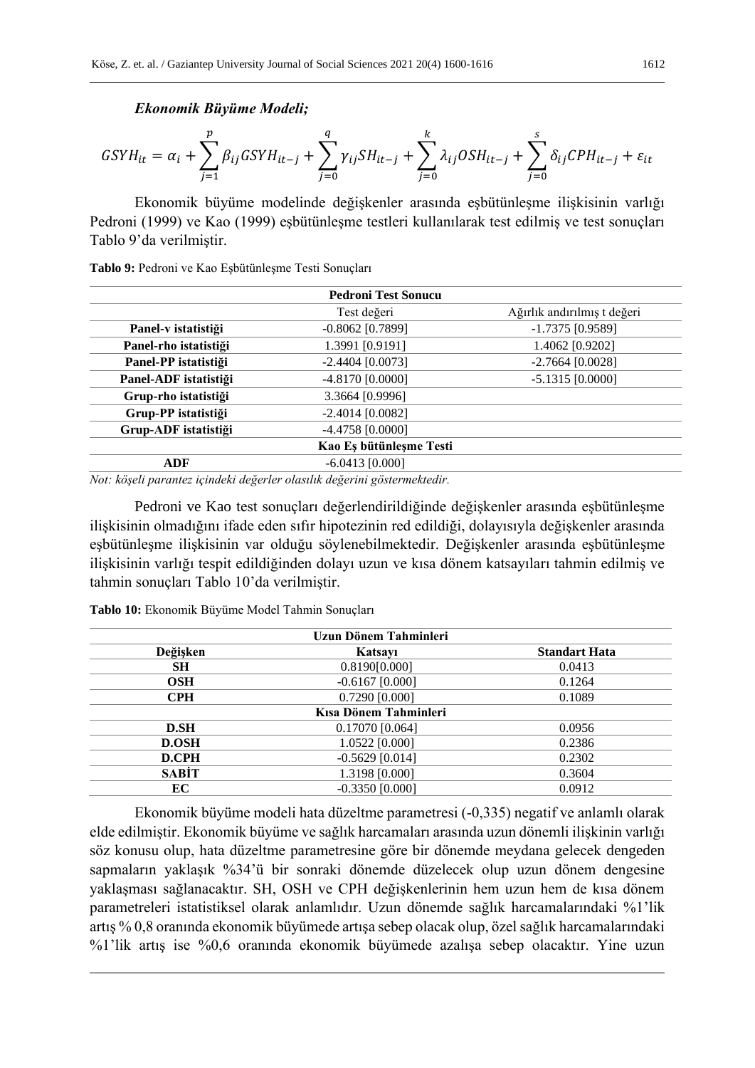*Ekonomik Büyüme Modeli;*

$$
GSYH_{it} = \alpha_i + \sum_{j=1}^{p} \beta_{ij}GSYH_{it-j} + \sum_{j=0}^{q} \gamma_{ij}SH_{it-j} + \sum_{j=0}^{k} \lambda_{ij}OSH_{it-j} + \sum_{j=0}^{s} \delta_{ij}CPH_{it-j} + \varepsilon_{it}
$$

Ekonomik büyüme modelinde değişkenler arasında eşbütünleşme ilişkisinin varlığı Pedroni (1999) ve Kao (1999) eşbütünleşme testleri kullanılarak test edilmiş ve test sonuçları Tablo 9'da verilmiştir.

**Tablo 9:** Pedroni ve Kao Eşbütünleşme Testi Sonuçları

|                       | <b>Pedroni Test Sonucu</b> |                             |
|-----------------------|----------------------------|-----------------------------|
|                       | Test değeri                | Ağırlık andırılmış t değeri |
| Panel-v istatistiği   | $-0.8062$ [0.7899]         | $-1.7375$ [0.9589]          |
| Panel-rho istatistiği | 1.3991 [0.9191]            | 1.4062 [0.9202]             |
| Panel-PP istatistiği  | $-2.4404$ [0.0073]         | $-2.7664$ [0.0028]          |
| Panel-ADF istatistiği | $-4.8170$ [0.0000]         | $-5.1315$ [0.0000]          |
| Grup-rho istatistiği  | 3.3664 [0.9996]            |                             |
| Grup-PP istatistiği   | $-2.4014$ [0.0082]         |                             |
| Grup-ADF istatistiği  | $-4.4758$ [0.0000]         |                             |
|                       | Kao Es bütünleşme Testi    |                             |
| ADF                   | $-6.0413$ [0.000]          |                             |

*Not: köşeli parantez içindeki değerler olasılık değerini göstermektedir.*

Pedroni ve Kao test sonuçları değerlendirildiğinde değişkenler arasında eşbütünleşme ilişkisinin olmadığını ifade eden sıfır hipotezinin red edildiği, dolayısıyla değişkenler arasında eşbütünleşme ilişkisinin var olduğu söylenebilmektedir. Değişkenler arasında eşbütünleşme ilişkisinin varlığı tespit edildiğinden dolayı uzun ve kısa dönem katsayıları tahmin edilmiş ve tahmin sonuçları Tablo 10'da verilmiştir.

| Uzun Dönem Tahminleri |                   |                      |  |  |  |  |  |
|-----------------------|-------------------|----------------------|--|--|--|--|--|
| Değişken              | Katsavi           | <b>Standart Hata</b> |  |  |  |  |  |
| <b>SH</b>             | 0.8190[0.000]     | 0.0413               |  |  |  |  |  |
| <b>OSH</b>            | $-0.6167$ [0.000] | 0.1264               |  |  |  |  |  |
| <b>CPH</b>            | 0.7290 [0.000]    | 0.1089               |  |  |  |  |  |
| Kısa Dönem Tahminleri |                   |                      |  |  |  |  |  |
| D.SH                  | $0.17070$ [0.064] | 0.0956               |  |  |  |  |  |
| <b>D.OSH</b>          | 1.0522 [0.000]    | 0.2386               |  |  |  |  |  |
| <b>D.CPH</b>          | $-0.5629$ [0.014] | 0.2302               |  |  |  |  |  |
| <b>SABIT</b>          | 1.3198 [0.000]    | 0.3604               |  |  |  |  |  |
| EC                    | $-0.3350$ [0.000] | 0.0912               |  |  |  |  |  |

**Tablo 10:** Ekonomik Büyüme Model Tahmin Sonuçları

Ekonomik büyüme modeli hata düzeltme parametresi (-0,335) negatif ve anlamlı olarak elde edilmiştir. Ekonomik büyüme ve sağlık harcamaları arasında uzun dönemli ilişkinin varlığı söz konusu olup, hata düzeltme parametresine göre bir dönemde meydana gelecek dengeden sapmaların yaklaşık %34'ü bir sonraki dönemde düzelecek olup uzun dönem dengesine yaklaşması sağlanacaktır. SH, OSH ve CPH değişkenlerinin hem uzun hem de kısa dönem parametreleri istatistiksel olarak anlamlıdır. Uzun dönemde sağlık harcamalarındaki %1'lik artış % 0,8 oranında ekonomik büyümede artışa sebep olacak olup, özel sağlık harcamalarındaki %1'lik artış ise %0,6 oranında ekonomik büyümede azalışa sebep olacaktır. Yine uzun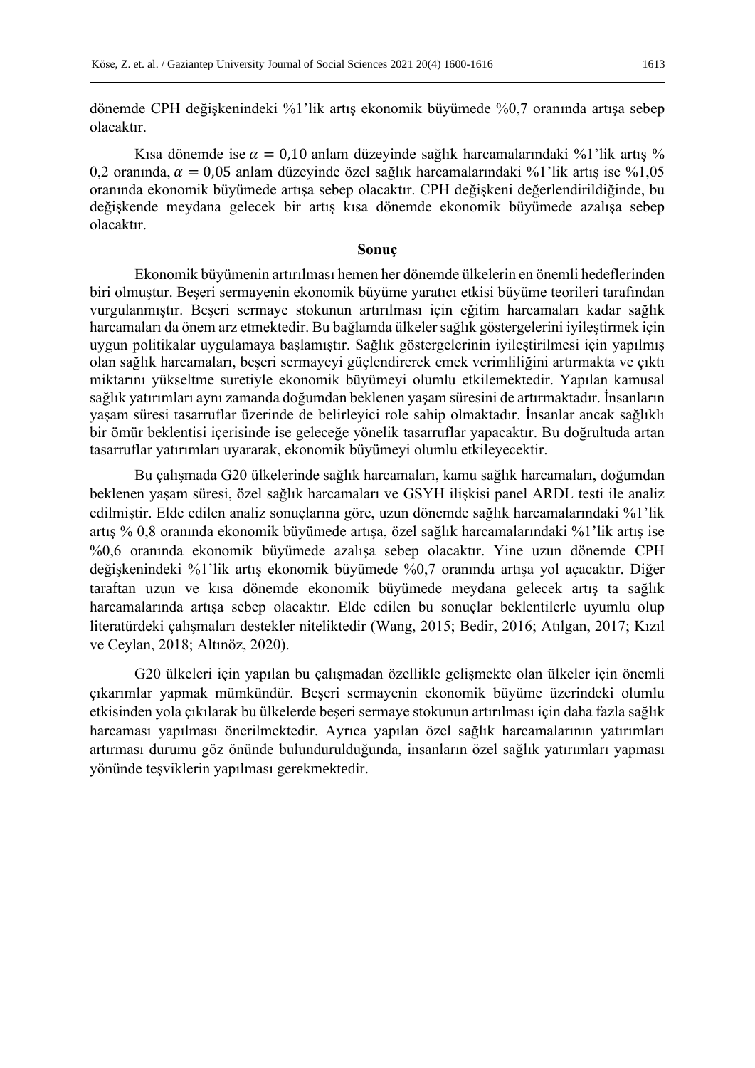dönemde CPH değişkenindeki %1'lik artış ekonomik büyümede %0,7 oranında artışa sebep olacaktır.

Kısa dönemde ise  $\alpha = 0.10$  anlam düzeyinde sağlık harcamalarındaki %1'lik artış % 0,2 oranında,  $\alpha = 0.05$  anlam düzeyinde özel sağlık harcamalarındaki %1'lik artış ise %1,05 oranında ekonomik büyümede artışa sebep olacaktır. CPH değişkeni değerlendirildiğinde, bu değişkende meydana gelecek bir artış kısa dönemde ekonomik büyümede azalışa sebep olacaktır.

### **Sonuç**

Ekonomik büyümenin artırılması hemen her dönemde ülkelerin en önemli hedeflerinden biri olmuştur. Beşeri sermayenin ekonomik büyüme yaratıcı etkisi büyüme teorileri tarafından vurgulanmıştır. Beşeri sermaye stokunun artırılması için eğitim harcamaları kadar sağlık harcamaları da önem arz etmektedir. Bu bağlamda ülkeler sağlık göstergelerini iyileştirmek için uygun politikalar uygulamaya başlamıştır. Sağlık göstergelerinin iyileştirilmesi için yapılmış olan sağlık harcamaları, beşeri sermayeyi güçlendirerek emek verimliliğini artırmakta ve çıktı miktarını yükseltme suretiyle ekonomik büyümeyi olumlu etkilemektedir. Yapılan kamusal sağlık yatırımları aynı zamanda doğumdan beklenen yaşam süresini de artırmaktadır. İnsanların yaşam süresi tasarruflar üzerinde de belirleyici role sahip olmaktadır. İnsanlar ancak sağlıklı bir ömür beklentisi içerisinde ise geleceğe yönelik tasarruflar yapacaktır. Bu doğrultuda artan tasarruflar yatırımları uyararak, ekonomik büyümeyi olumlu etkileyecektir.

Bu çalışmada G20 ülkelerinde sağlık harcamaları, kamu sağlık harcamaları, doğumdan beklenen yaşam süresi, özel sağlık harcamaları ve GSYH ilişkisi panel ARDL testi ile analiz edilmiştir. Elde edilen analiz sonuçlarına göre, uzun dönemde sağlık harcamalarındaki %1'lik artış % 0,8 oranında ekonomik büyümede artışa, özel sağlık harcamalarındaki %1'lik artış ise %0,6 oranında ekonomik büyümede azalışa sebep olacaktır. Yine uzun dönemde CPH değişkenindeki %1'lik artış ekonomik büyümede %0,7 oranında artışa yol açacaktır. Diğer taraftan uzun ve kısa dönemde ekonomik büyümede meydana gelecek artış ta sağlık harcamalarında artışa sebep olacaktır. Elde edilen bu sonuçlar beklentilerle uyumlu olup literatürdeki çalışmaları destekler niteliktedir (Wang, 2015; Bedir, 2016; Atılgan, 2017; Kızıl ve Ceylan, 2018; Altınöz, 2020).

G20 ülkeleri için yapılan bu çalışmadan özellikle gelişmekte olan ülkeler için önemli çıkarımlar yapmak mümkündür. Beşeri sermayenin ekonomik büyüme üzerindeki olumlu etkisinden yola çıkılarak bu ülkelerde beşeri sermaye stokunun artırılması için daha fazla sağlık harcaması yapılması önerilmektedir. Ayrıca yapılan özel sağlık harcamalarının yatırımları artırması durumu göz önünde bulundurulduğunda, insanların özel sağlık yatırımları yapması yönünde teşviklerin yapılması gerekmektedir.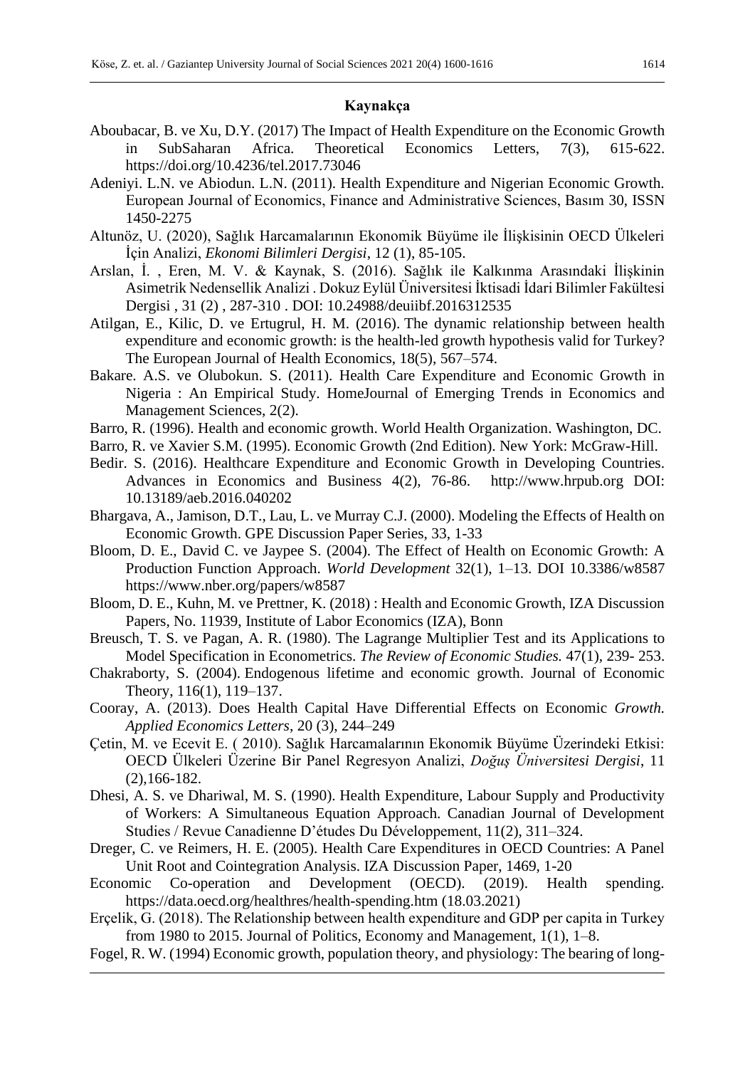## **Kaynakça**

- Aboubacar, B. ve Xu, D.Y. (2017) The Impact of Health Expenditure on the Economic Growth in SubSaharan Africa. Theoretical Economics Letters, 7(3), 615-622. https://doi.org/10.4236/tel.2017.73046
- Adeniyi. L.N. ve Abiodun. L.N. (2011). Health Expenditure and Nigerian Economic Growth. European Journal of Economics, Finance and Administrative Sciences, Basım 30, ISSN 1450-2275
- Altunöz, U. (2020), Sağlık Harcamalarının Ekonomik Büyüme ile İlişkisinin OECD Ülkeleri İçin Analizi, *Ekonomi Bilimleri Dergisi*, 12 (1), 85-105.
- Arslan, İ. , Eren, M. V. & Kaynak, S. (2016). Sağlık ile Kalkınma Arasındaki İlişkinin Asimetrik Nedensellik Analizi . Dokuz Eylül Üniversitesi İktisadi İdari Bilimler Fakültesi Dergisi , 31 (2) , 287-310 . DOI: 10.24988/deuiibf.2016312535
- Atilgan, E., Kilic, D. ve Ertugrul, H. M. (2016). The dynamic relationship between health expenditure and economic growth: is the health-led growth hypothesis valid for Turkey? The European Journal of Health Economics, 18(5), 567–574.
- Bakare. A.S. ve Olubokun. S. (2011). Health Care Expenditure and Economic Growth in Nigeria : An Empirical Study. HomeJournal of Emerging Trends in Economics and Management Sciences, 2(2).
- Barro, R. (1996). Health and economic growth. World Health Organization. Washington, DC.
- Barro, R. ve Xavier S.M. (1995). Economic Growth (2nd Edition). New York: McGraw-Hill.
- Bedir. S. (2016). Healthcare Expenditure and Economic Growth in Developing Countries. Advances in Economics and Business 4(2), 76-86. http://www.hrpub.org DOI: 10.13189/aeb.2016.040202
- Bhargava, A., Jamison, D.T., Lau, L. ve Murray C.J. (2000). Modeling the Effects of Health on Economic Growth. GPE Discussion Paper Series, 33, 1-33
- Bloom, D. E., David C. ve Jaypee S. (2004). The Effect of Health on Economic Growth: A Production Function Approach. *World Development* 32(1), 1–13. DOI 10.3386/w8587 https://www.nber.org/papers/w8587
- Bloom, D. E., Kuhn, M. ve Prettner, K. (2018) : Health and Economic Growth, IZA Discussion Papers, No. 11939, Institute of Labor Economics (IZA), Bonn
- Breusch, T. S. ve Pagan, A. R. (1980). The Lagrange Multiplier Test and its Applications to Model Specification in Econometrics. *The Review of Economic Studies.* 47(1), 239- 253.
- Chakraborty, S. (2004). Endogenous lifetime and economic growth. Journal of Economic Theory, 116(1), 119–137.
- Cooray, A. (2013). Does Health Capital Have Differential Effects on Economic *Growth. Applied Economics Letters*, 20 (3), 244–249
- Çetin, M. ve Ecevit E. ( 2010). Sağlık Harcamalarının Ekonomik Büyüme Üzerindeki Etkisi: OECD Ülkeleri Üzerine Bir Panel Regresyon Analizi, *Doğuş Üniversitesi Dergisi*, 11 (2),166-182.
- Dhesi, A. S. ve Dhariwal, M. S. (1990). Health Expenditure, Labour Supply and Productivity of Workers: A Simultaneous Equation Approach. Canadian Journal of Development Studies / Revue Canadienne D'études Du Développement, 11(2), 311–324.
- Dreger, C. ve Reimers, H. E. (2005). Health Care Expenditures in OECD Countries: A Panel Unit Root and Cointegration Analysis. IZA Discussion Paper, 1469, 1-20
- Economic Co-operation and Development (OECD). (2019). Health spending. https://data.oecd.org/healthres/health-spending.htm (18.03.2021)
- Erçelik, G. (2018). The Relationship between health expenditure and GDP per capita in Turkey from 1980 to 2015. Journal of Politics, Economy and Management, 1(1), 1–8.
- Fogel, R. W. (1994) Economic growth, population theory, and physiology: The bearing of long-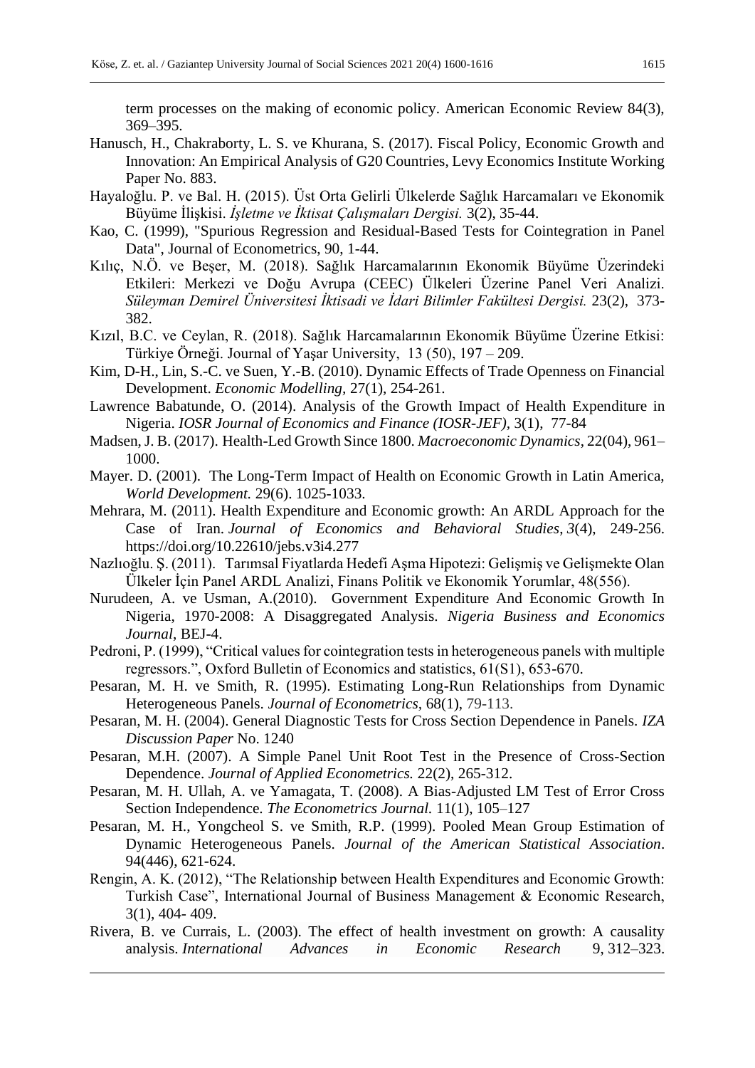term processes on the making of economic policy. American Economic Review 84(3), 369–395.

- Hanusch, H., Chakraborty, L. S. ve Khurana, S. (2017). Fiscal Policy, Economic Growth and Innovation: An Empirical Analysis of G20 Countries, Levy Economics Institute Working Paper No. 883.
- Hayaloğlu. P. ve Bal. H. (2015). Üst Orta Gelirli Ülkelerde Sağlık Harcamaları ve Ekonomik Büyüme İlişkisi. *İşletme ve İktisat Çalışmaları Dergisi.* 3(2), 35-44.
- Kao, C. (1999), "Spurious Regression and Residual-Based Tests for Cointegration in Panel Data", Journal of Econometrics, 90, 1-44.
- Kılıç, N.Ö. ve Beşer, M. (2018). Sağlık Harcamalarının Ekonomik Büyüme Üzerindeki Etkileri: Merkezi ve Doğu Avrupa (CEEC) Ülkeleri Üzerine Panel Veri Analizi. *Süleyman Demirel Üniversitesi İktisadi ve İdari Bilimler Fakültesi Dergisi.* 23(2), 373- 382.
- Kızıl, B.C. ve Ceylan, R. (2018). Sağlık Harcamalarının Ekonomik Büyüme Üzerine Etkisi: Türkiye Örneği. Journal of Yaşar University, 13 (50), 197 – 209.
- Kim, D-H., Lin, S.-C. ve Suen, Y.-B. (2010). Dynamic Effects of Trade Openness on Financial Development. *Economic Modelling,* 27(1), 254-261.
- Lawrence Babatunde, O. (2014). Analysis of the Growth Impact of Health Expenditure in Nigeria. *IOSR Journal of Economics and Finance (IOSR-JEF),* 3(1), 77-84
- Madsen, J. B. (2017). Health-Led Growth Since 1800. *Macroeconomic Dynamics*, 22(04), 961– 1000.
- Mayer. D. (2001). The Long-Term Impact of Health on Economic Growth in Latin America, *World Development.* 29(6). 1025-1033.
- Mehrara, M. (2011). Health Expenditure and Economic growth: An ARDL Approach for the Case of Iran. *Journal of Economics and Behavioral Studies*, *3*(4), 249-256. https://doi.org/10.22610/jebs.v3i4.277
- Nazlıoğlu. Ş. (2011). Tarımsal Fiyatlarda Hedefi Aşma Hipotezi: Gelişmiş ve Gelişmekte Olan Ülkeler İçin Panel ARDL Analizi, Finans Politik ve Ekonomik Yorumlar, 48(556).
- Nurudeen, A. ve Usman, A.(2010). Government Expenditure And Economic Growth In Nigeria, 1970-2008: A Disaggregated Analysis. *Nigeria Business and Economics Journal*, BEJ-4.
- Pedroni, P. (1999), "Critical values for cointegration tests in heterogeneous panels with multiple regressors.", Oxford Bulletin of Economics and statistics, 61(S1), 653-670.
- Pesaran, M. H. ve Smith, R. (1995). Estimating Long-Run Relationships from Dynamic Heterogeneous Panels. *Journal of Econometrics,* 68(1), 79-113.
- Pesaran, M. H. (2004). General Diagnostic Tests for Cross Section Dependence in Panels. *IZA Discussion Paper* No. 1240
- Pesaran, M.H. (2007). A Simple Panel Unit Root Test in the Presence of Cross-Section Dependence. *Journal of Applied Econometrics.* 22(2), 265-312.
- Pesaran, M. H. Ullah, A. ve Yamagata, T. (2008). A Bias-Adjusted LM Test of Error Cross Section Independence. *The Econometrics Journal.* 11(1), 105–127
- Pesaran, M. H., Yongcheol S. ve Smith, R.P. (1999). Pooled Mean Group Estimation of Dynamic Heterogeneous Panels. *Journal of the American Statistical Association*. 94(446), 621-624.
- Rengin, A. K. (2012), "The Relationship between Health Expenditures and Economic Growth: Turkish Case", International Journal of Business Management & Economic Research, 3(1), 404- 409.
- Rivera, B. ve Currais, L. (2003). The effect of health investment on growth: A causality analysis. *International Advances in Economic Research* 9, 312–323.